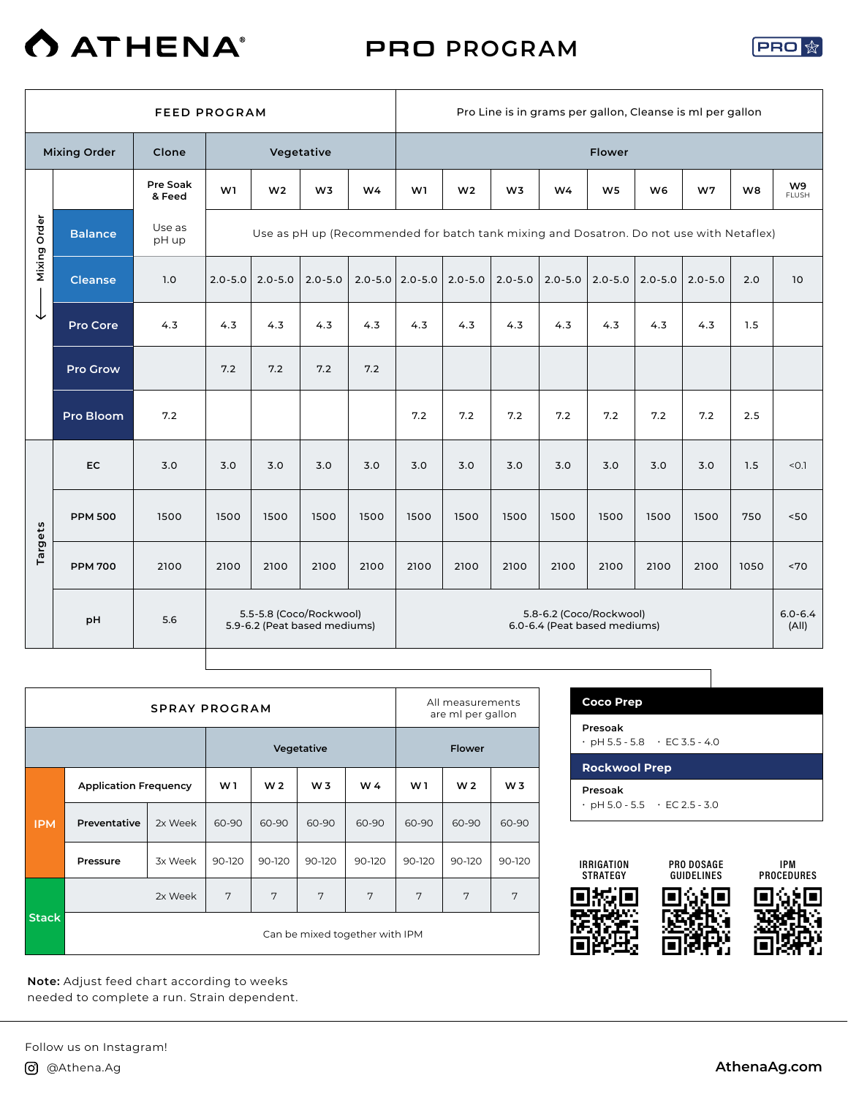

### PRO **PROGRAM**



|              |                     | <b>FEED PROGRAM</b> |             |                                                         |                |                |                       |                | Pro Line is in grams per gallon, Cleanse is ml per gallon                               |                |                                                         |                |                |                |                                |
|--------------|---------------------|---------------------|-------------|---------------------------------------------------------|----------------|----------------|-----------------------|----------------|-----------------------------------------------------------------------------------------|----------------|---------------------------------------------------------|----------------|----------------|----------------|--------------------------------|
|              | <b>Mixing Order</b> | Clone               |             |                                                         | Vegetative     |                |                       |                |                                                                                         |                | <b>Flower</b>                                           |                |                |                |                                |
|              |                     | Pre Soak<br>& Feed  | W1          | W <sub>2</sub>                                          | W <sub>3</sub> | W <sub>4</sub> | W1                    | W <sub>2</sub> | W <sub>3</sub>                                                                          | W <sub>4</sub> | W <sub>5</sub>                                          | W <sub>6</sub> | W <sub>7</sub> | W <sub>8</sub> | W <sub>9</sub><br><b>FLUSH</b> |
| Mixing Order | <b>Balance</b>      | Use as<br>pH up     |             |                                                         |                |                |                       |                | Use as pH up (Recommended for batch tank mixing and Dosatron. Do not use with Netaflex) |                |                                                         |                |                |                |                                |
|              | <b>Cleanse</b>      | 1.0                 | $2.0 - 5.0$ | $2.0 - 5.0$                                             | $2.0 - 5.0$    |                | $2.0 - 5.0$ 2.0 - 5.0 | $2.0 - 5.0$    | $2.0 - 5.0$                                                                             | $2.0 - 5.0$    | $2.0 - 5.0$                                             | $2.0 - 5.0$    | $2.0 - 5.0$    | 2.0            | 10                             |
| ↓            | Pro Core            | 4.3                 | 4.3         | 4.3                                                     | 4.3            | 4.3            | 4.3                   | 4.3            | 4.3                                                                                     | 4.3            | 4.3                                                     | 4.3            | 4.3            | 1.5            |                                |
|              | <b>Pro Grow</b>     |                     | 7.2         | 7.2                                                     | 7.2            | 7.2            |                       |                |                                                                                         |                |                                                         |                |                |                |                                |
|              | Pro Bloom           | 7.2                 |             |                                                         |                |                | 7.2                   | 7.2            | 7.2                                                                                     | 7.2            | 7.2                                                     | 7.2            | 7.2            | 2.5            |                                |
|              | EC                  | 3.0                 | 3.0         | 3.0                                                     | 3.0            | 3.0            | 3.0                   | 3.0            | 3.0                                                                                     | 3.0            | 3.0                                                     | 3.0            | 3.0            | 1.5            | < 0.1                          |
|              | <b>PPM 500</b>      | 1500                | 1500        | 1500                                                    | 1500           | 1500           | 1500                  | 1500           | 1500                                                                                    | 1500           | 1500                                                    | 1500           | 1500           | 750            | 50<                            |
| Targets      | <b>PPM 700</b>      | 2100                | 2100        | 2100                                                    | 2100           | 2100           | 2100                  | 2100           | 2100                                                                                    | 2100           | 2100                                                    | 2100           | 2100           | 1050           | ~570                           |
|              | pH                  | 5.6                 |             | 5.5-5.8 (Coco/Rockwool)<br>5.9-6.2 (Peat based mediums) |                |                |                       |                |                                                                                         |                | 5.8-6.2 (Coco/Rockwool)<br>6.0-6.4 (Peat based mediums) |                |                |                | $6.0 - 6.4$<br>(AII)           |

т

|              |                              | <b>SPRAY PROGRAM</b> |                |                |                |                                |        | All measurements<br>are ml per gallon |                |
|--------------|------------------------------|----------------------|----------------|----------------|----------------|--------------------------------|--------|---------------------------------------|----------------|
|              |                              |                      |                |                | Vegetative     |                                |        | <b>Flower</b>                         |                |
|              | <b>Application Frequency</b> |                      | W <sub>1</sub> | W <sub>2</sub> | W <sub>3</sub> | W 4                            | W1     | W <sub>2</sub>                        | W <sub>3</sub> |
| <b>IPM</b>   | Preventative                 | 2x Week              | 60-90          | 60-90          | 60-90          | 60-90                          | 60-90  | 60-90                                 | 60-90          |
|              | Pressure                     | 3x Week              | 90-120         | 90-120         | 90-120         | 90-120                         | 90-120 | 90-120                                | 90-120         |
|              |                              | 2x Week              | 7              | 7              | 7              | 7                              | 7      | 7                                     | 7              |
| <b>Stack</b> |                              |                      |                |                |                | Can be mixed together with IPM |        |                                       |                |

**Note:** Adjust feed chart according to weeks needed to complete a run. Strain dependent.

| <b>Coco Prep</b>                                     |                                           |
|------------------------------------------------------|-------------------------------------------|
| Presoak<br>$\cdot$ pH 5.5 - 5.8 $\cdot$ EC 3.5 - 4.0 |                                           |
| <b>Rockwool Prep</b>                                 |                                           |
| Presoak                                              | $\cdot$ pH 5.0 - 5.5 $\cdot$ EC 2.5 - 3.0 |

٦

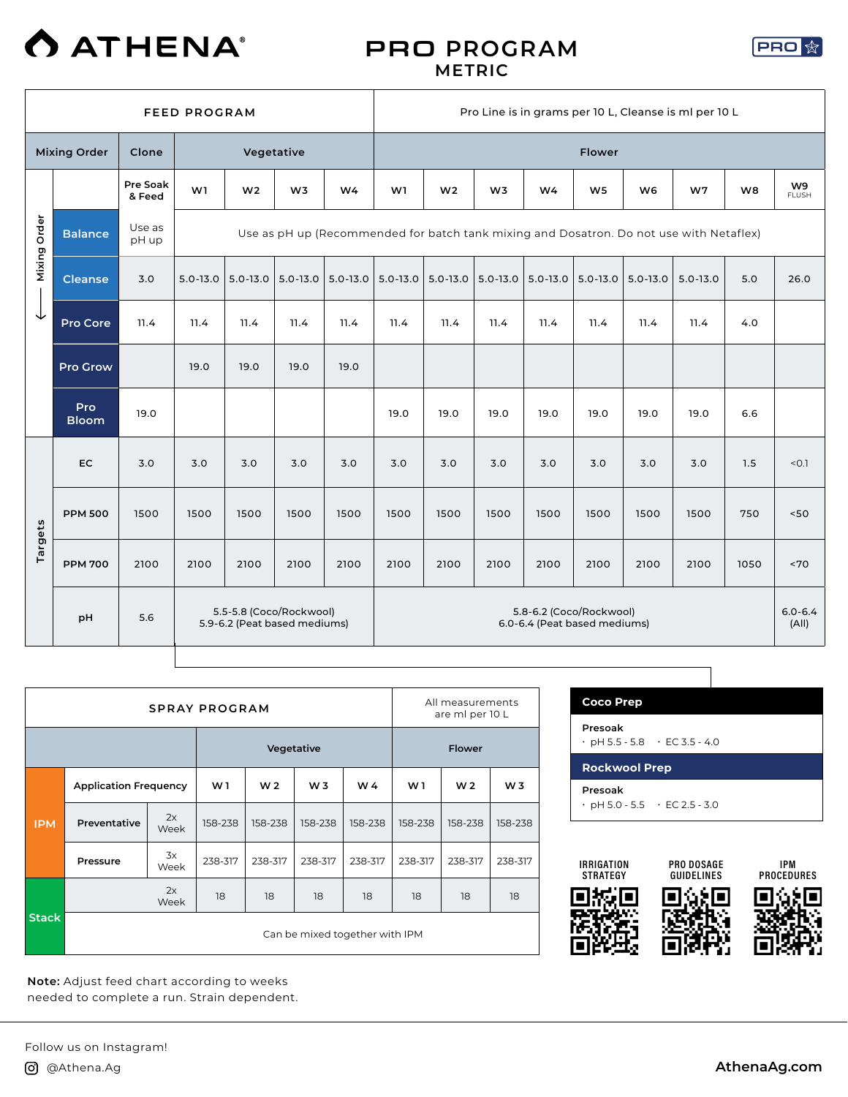

#### PRO **PROGRAM METRIC**



|              |                     |                    | <b>FEED PROGRAM</b> |                                                         |                |              |              |                |              |              |                                                         |                | Pro Line is in grams per 10 L, Cleanse is ml per 10 L                                   |      |                      |
|--------------|---------------------|--------------------|---------------------|---------------------------------------------------------|----------------|--------------|--------------|----------------|--------------|--------------|---------------------------------------------------------|----------------|-----------------------------------------------------------------------------------------|------|----------------------|
|              | <b>Mixing Order</b> | Clone              |                     | Vegetative                                              |                |              |              |                |              |              | Flower                                                  |                |                                                                                         |      |                      |
|              |                     | Pre Soak<br>& Feed | W1                  | W <sub>2</sub>                                          | W <sub>3</sub> | W4           | W1           | W <sub>2</sub> | W3           | W4           | W <sub>5</sub>                                          | W <sub>6</sub> | W7                                                                                      | W8   | W9<br><b>FLUSH</b>   |
| Mixing Order | <b>Balance</b>      | Use as<br>pH up    |                     |                                                         |                |              |              |                |              |              |                                                         |                | Use as pH up (Recommended for batch tank mixing and Dosatron. Do not use with Netaflex) |      |                      |
|              | <b>Cleanse</b>      | 3.0                | $5.0 - 13.0$        | $5.0 - 13.0$                                            | $5.0 - 13.0$   | $5.0 - 13.0$ | $5.0 - 13.0$ | $5.0 - 13.0$   | $5.0 - 13.0$ | $5.0 - 13.0$ | $5.0 - 13.0$                                            | $5.0 - 13.0$   | $5.0 - 13.0$                                                                            | 5.0  | 26.0                 |
| ↓            | Pro Core            | 11.4               | 11.4                | 11.4                                                    | 11.4           | 11.4         | 11.4         | 11.4           | 11.4         | 11.4         | 11.4                                                    | 11.4           | 11.4                                                                                    | 4.0  |                      |
|              | <b>Pro Grow</b>     |                    | 19.0                | 19.0                                                    | 19.0           | 19.0         |              |                |              |              |                                                         |                |                                                                                         |      |                      |
|              | Pro<br><b>Bloom</b> | 19.0               |                     |                                                         |                |              | 19.0         | 19.0           | 19.0         | 19.0         | 19.0                                                    | 19.0           | 19.0                                                                                    | 6.6  |                      |
|              | <b>EC</b>           | 3.0                | 3.0                 | 3.0                                                     | 3.0            | 3.0          | 3.0          | 3.0            | 3.0          | 3.0          | 3.0                                                     | 3.0            | 3.0                                                                                     | 1.5  | < 0.1                |
|              | <b>PPM 500</b>      | 1500               | 1500                | 1500                                                    | 1500           | 1500         | 1500         | 1500           | 1500         | 1500         | 1500                                                    | 1500           | 1500                                                                                    | 750  | $<50$                |
| Targets      | <b>PPM 700</b>      | 2100               | 2100                | 2100                                                    | 2100           | 2100         | 2100         | 2100           | 2100         | 2100         | 2100                                                    | 2100           | 2100                                                                                    | 1050 | ~5                   |
|              | pH                  | 5.6                |                     | 5.5-5.8 (Coco/Rockwool)<br>5.9-6.2 (Peat based mediums) |                |              |              |                |              |              | 5.8-6.2 (Coco/Rockwool)<br>6.0-6.4 (Peat based mediums) |                |                                                                                         |      | $6.0 - 6.4$<br>(A  ) |

|              |                              |            | <b>SPRAY PROGRAM</b> |                |                |                                |         | All measurements<br>are ml per 10 L |                |
|--------------|------------------------------|------------|----------------------|----------------|----------------|--------------------------------|---------|-------------------------------------|----------------|
|              |                              |            |                      | Vegetative     |                |                                |         | <b>Flower</b>                       |                |
|              | <b>Application Frequency</b> |            | W1                   | W <sub>2</sub> | W <sub>3</sub> | W 4                            | W 1     | W <sub>2</sub>                      | W <sub>3</sub> |
| <b>IPM</b>   | Preventative                 | 2x<br>Week | 158-238              | 158-238        | 158-238        | 158-238                        | 158-238 | 158-238                             | 158-238        |
|              | Pressure                     | 3x<br>Week | 238-317              | 238-317        | 238-317        | 238-317                        | 238-317 | 238-317                             | 238-317        |
|              |                              | 2x<br>Week | 18                   | 18             | 18             | 18                             | 18      | 18                                  | 18             |
| <b>Stack</b> |                              |            |                      |                |                | Can be mixed together with IPM |         |                                     |                |

**Note:** Adjust feed chart according to weeks needed to complete a run. Strain dependent.

| <b>Coco Prep</b>                                     |  |
|------------------------------------------------------|--|
| Presoak<br>$\cdot$ pH 5.5 - 5.8 $\cdot$ EC 3.5 - 4.0 |  |
| <b>Rockwool Prep</b>                                 |  |
|                                                      |  |

ן

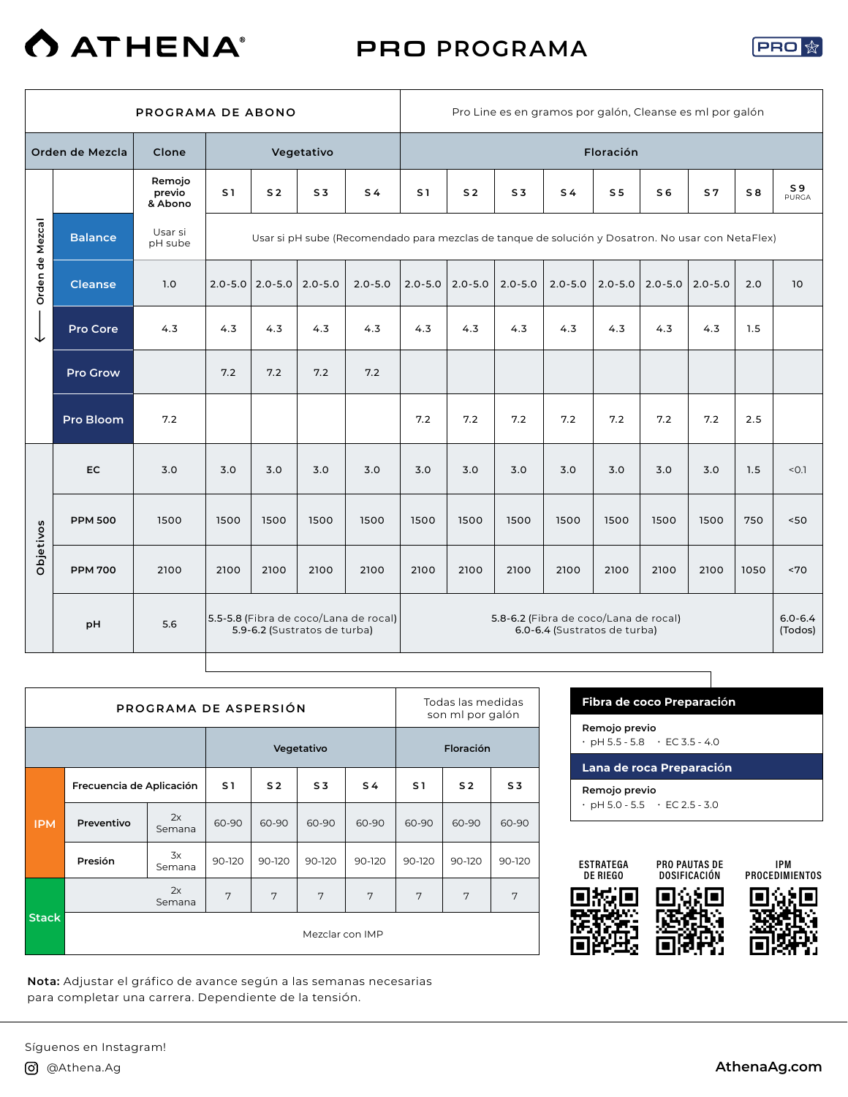# **O ATHENA®**

## PRO **PROGRAMA**



|                 |                  | PROGRAMA DE ABONO           |                |                       |                              |                                                                                                   |                |                |                | Pro Line es en gramos por galón, Cleanse es ml por galón              |                |                |                |      |                         |
|-----------------|------------------|-----------------------------|----------------|-----------------------|------------------------------|---------------------------------------------------------------------------------------------------|----------------|----------------|----------------|-----------------------------------------------------------------------|----------------|----------------|----------------|------|-------------------------|
|                 | Orden de Mezcla  | Clone                       |                |                       | Vegetativo                   |                                                                                                   |                |                |                |                                                                       | Floración      |                |                |      |                         |
|                 |                  | Remojo<br>previo<br>& Abono | S <sub>1</sub> | S <sub>2</sub>        | S <sub>3</sub>               | S <sub>4</sub>                                                                                    | S <sub>1</sub> | S <sub>2</sub> | S <sub>3</sub> | S <sub>4</sub>                                                        | S <sub>5</sub> | S <sub>6</sub> | S <sub>7</sub> | S8   | S <sub>9</sub><br>PURGA |
|                 | <b>Balance</b>   | Usar si<br>pH sube          |                |                       |                              | Usar si pH sube (Recomendado para mezclas de tanque de solución y Dosatron. No usar con NetaFlex) |                |                |                |                                                                       |                |                |                |      |                         |
| Orden de Mezcal | <b>Cleanse</b>   | 1.0                         |                | $2.0 - 5.0$ 2.0 - 5.0 | $2.0 - 5.0$                  | $2.0 - 5.0$                                                                                       | $2.0 - 5.0$    | $2.0 - 5.0$    | $2.0 - 5.0$    | $2.0 - 5.0$                                                           | $2.0 - 5.0$    | $2.0 - 5.0$    | $2.0 - 5.0$    | 2.0  | 10                      |
| ◡               | <b>Pro Core</b>  | 4.3                         | 4.3            | 4.3                   | 4.3                          | 4.3                                                                                               | 4.3            | 4.3            | 4.3            | 4.3                                                                   | 4.3            | 4.3            | 4.3            | 1.5  |                         |
|                 | <b>Pro Grow</b>  |                             | 7.2            | 7.2                   | 7.2                          | 7.2                                                                                               |                |                |                |                                                                       |                |                |                |      |                         |
|                 | <b>Pro Bloom</b> | 7.2                         |                |                       |                              |                                                                                                   | 7.2            | 7.2            | 7.2            | 7.2                                                                   | 7.2            | 7.2            | 7.2            | 2.5  |                         |
|                 | <b>EC</b>        | 3.0                         | 3.0            | 3.0                   | 3.0                          | 3.0                                                                                               | 3.0            | 3.0            | 3.0            | 3.0                                                                   | 3.0            | 3.0            | 3.0            | 1.5  | < 0.1                   |
|                 | <b>PPM 500</b>   | 1500                        | 1500           | 1500                  | 1500                         | 1500                                                                                              | 1500           | 1500           | 1500           | 1500                                                                  | 1500           | 1500           | 1500           | 750  | 50<                     |
| Objetivos       | <b>PPM 700</b>   | 2100                        | 2100           | 2100                  | 2100                         | 2100                                                                                              | 2100           | 2100           | 2100           | 2100                                                                  | 2100           | 2100           | 2100           | 1050 | ~570                    |
|                 | pH               | 5.6                         |                |                       | 5.9-6.2 (Sustratos de turba) | 5.5-5.8 (Fibra de coco/Lana de rocal)                                                             |                |                |                | 5.8-6.2 (Fibra de coco/Lana de rocal)<br>6.0-6.4 (Sustratos de turba) |                |                |                |      | $6.0 - 6.4$<br>(Todos)  |

Т

|              |                          | PROGRAMA DE ASPERSIÓN |                |                |                 |                |                | Todas las medidas<br>son ml por galón |                |
|--------------|--------------------------|-----------------------|----------------|----------------|-----------------|----------------|----------------|---------------------------------------|----------------|
|              |                          |                       |                |                | Vegetativo      |                |                | Floración                             |                |
|              | Frecuencia de Aplicación |                       | S <sub>1</sub> | S <sub>2</sub> | S <sub>3</sub>  | S <sub>4</sub> | S <sub>1</sub> | S <sub>2</sub>                        | S <sub>3</sub> |
| <b>IPM</b>   | Preventivo               | 2x<br>Semana          | 60-90          | 60-90          | 60-90           | 60-90          | 60-90          | 60-90                                 | 60-90          |
|              | Presión                  | 3x<br>Semana          | 90-120         | 90-120         | 90-120          | 90-120         | 90-120         | 90-120                                | 90-120         |
|              |                          | 2x<br>Semana          | 7              | 7              | 7               | 7              | 7              | 7                                     | 7              |
| <b>Stack</b> |                          |                       |                |                | Mezclar con IMP |                |                |                                       |                |

**Nota:** Adjustar el gráfico de avance según a las semanas necesarias para completar una carrera. Dependiente de la tensión.

| <b>Fibra de coco Preparación</b>                           |
|------------------------------------------------------------|
| Remojo previo<br>$\cdot$ pH 5.5 - 5.8 $\cdot$ EC 3.5 - 4.0 |
|                                                            |
| Lana de roca Preparación                                   |

⅂

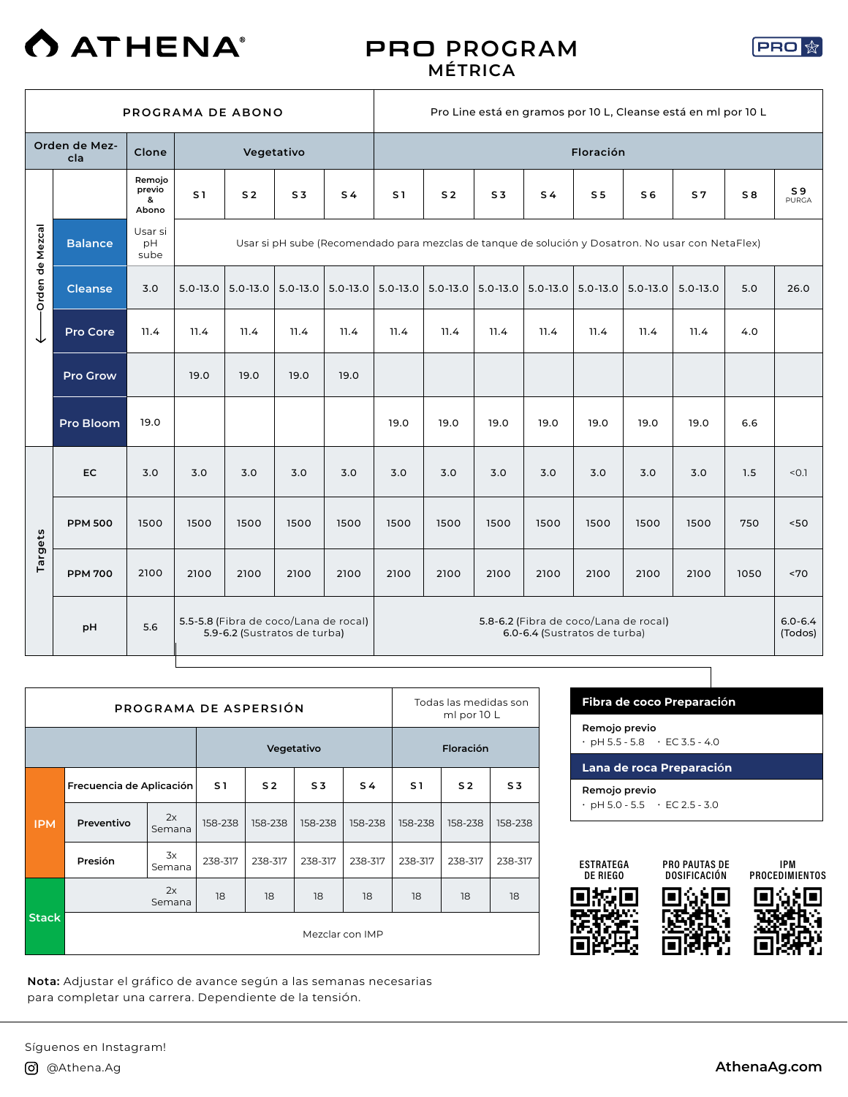

#### PRO **PROGRAM MÉTRICA**



|                 |                      |                                |                | PROGRAMA DE ABONO                                                     |                |                |                |                  |                |                                                                       |                |                | Pro Line está en gramos por 10 L, Cleanse está en ml por 10 L                                     |      |                        |
|-----------------|----------------------|--------------------------------|----------------|-----------------------------------------------------------------------|----------------|----------------|----------------|------------------|----------------|-----------------------------------------------------------------------|----------------|----------------|---------------------------------------------------------------------------------------------------|------|------------------------|
|                 | Orden de Mez-<br>cla | Clone                          |                |                                                                       | Vegetativo     |                |                |                  |                |                                                                       | Floración      |                |                                                                                                   |      |                        |
|                 |                      | Remojo<br>previo<br>&<br>Abono | S <sub>1</sub> | S <sub>2</sub>                                                        | S <sub>3</sub> | S <sub>4</sub> | S <sub>1</sub> | S <sub>2</sub>   | S <sub>3</sub> | S <sub>4</sub>                                                        | S <sub>5</sub> | S <sub>6</sub> | S <sub>7</sub>                                                                                    | S8   | S 9<br>PURGA           |
| Orden de Mezcal | <b>Balance</b>       | Usar si<br>pH<br>sube          |                |                                                                       |                |                |                |                  |                |                                                                       |                |                | Usar si pH sube (Recomendado para mezclas de tanque de solución y Dosatron. No usar con NetaFlex) |      |                        |
|                 | <b>Cleanse</b>       | 3.0                            | $5.0 - 13.0$   | $5.0 - 13.0$                                                          | $5.0 - 13.0$   | $5.0 - 13.0$   | $5.0 - 13.0$   | $  5.0 - 13.0  $ | $5.0 - 13.0$   | $5.0 - 13.0$                                                          | $5.0 - 13.0$   | $5.0 - 13.0$   | $5.0 - 13.0$                                                                                      | 5.0  | 26.0                   |
| ◡               | <b>Pro Core</b>      | 11.4                           | 11.4           | 11.4                                                                  | 11.4           | 11.4           | 11.4           | 11.4             | 11.4           | 11.4                                                                  | 11.4           | 11.4           | 11.4                                                                                              | 4.0  |                        |
|                 | <b>Pro Grow</b>      |                                | 19.0           | 19.0                                                                  | 19.0           | 19.0           |                |                  |                |                                                                       |                |                |                                                                                                   |      |                        |
|                 | <b>Pro Bloom</b>     | 19.0                           |                |                                                                       |                |                | 19.0           | 19.0             | 19.0           | 19.0                                                                  | 19.0           | 19.0           | 19.0                                                                                              | 6.6  |                        |
|                 | EC.                  | 3.0                            | 3.0            | 3.0                                                                   | 3.0            | 3.0            | 3.0            | 3.0              | 3.0            | 3.0                                                                   | 3.0            | 3.0            | 3.0                                                                                               | 1.5  | < 0.1                  |
|                 | <b>PPM 500</b>       | 1500                           | 1500           | 1500                                                                  | 1500           | 1500           | 1500           | 1500             | 1500           | 1500                                                                  | 1500           | 1500           | 1500                                                                                              | 750  | 50                     |
| Targets         | <b>PPM 700</b>       | 2100                           | 2100           | 2100                                                                  | 2100           | 2100           | 2100           | 2100             | 2100           | 2100                                                                  | 2100           | 2100           | 2100                                                                                              | 1050 | ~170                   |
|                 | pH                   | 5.6                            |                | 5.5-5.8 (Fibra de coco/Lana de rocal)<br>5.9-6.2 (Sustratos de turba) |                |                |                |                  |                | 5.8-6.2 (Fibra de coco/Lana de rocal)<br>6.0-6.4 (Sustratos de turba) |                |                |                                                                                                   |      | $6.0 - 6.4$<br>(Todos) |

|              |                          | PROGRAMA DE ASPERSIÓN |         |                |                 |         |         | Todas las medidas son<br>ml por 10 L |                |
|--------------|--------------------------|-----------------------|---------|----------------|-----------------|---------|---------|--------------------------------------|----------------|
|              |                          |                       |         | Vegetativo     |                 |         |         | Floración                            |                |
|              | Frecuencia de Aplicación |                       | S1      | S <sub>2</sub> | S <sub>3</sub>  | S 4     | S1      | S <sub>2</sub>                       | S <sub>3</sub> |
| <b>IPM</b>   | Preventivo               | 2x<br>Semana          | 158-238 | 158-238        | 158-238         | 158-238 | 158-238 | 158-238                              | 158-238        |
|              | Presión                  | 3x<br>Semana          | 238-317 | 238-317        | 238-317         | 238-317 | 238-317 | 238-317                              | 238-317        |
|              |                          | 2x<br>Semana          | 18      | 18             | 18              | 18      | 18      | 18                                   | 18             |
| <b>Stack</b> |                          |                       |         |                | Mezclar con IMP |         |         |                                      |                |

**Nota:** Adjustar el gráfico de avance según a las semanas necesarias para completar una carrera. Dependiente de la tensiÓn.

| Fibra de coco Preparación                                  |
|------------------------------------------------------------|
| Remojo previo<br>$\cdot$ pH 5.5 - 5.8 $\cdot$ EC 3.5 - 4.0 |
|                                                            |
| Lana de roca Preparación                                   |



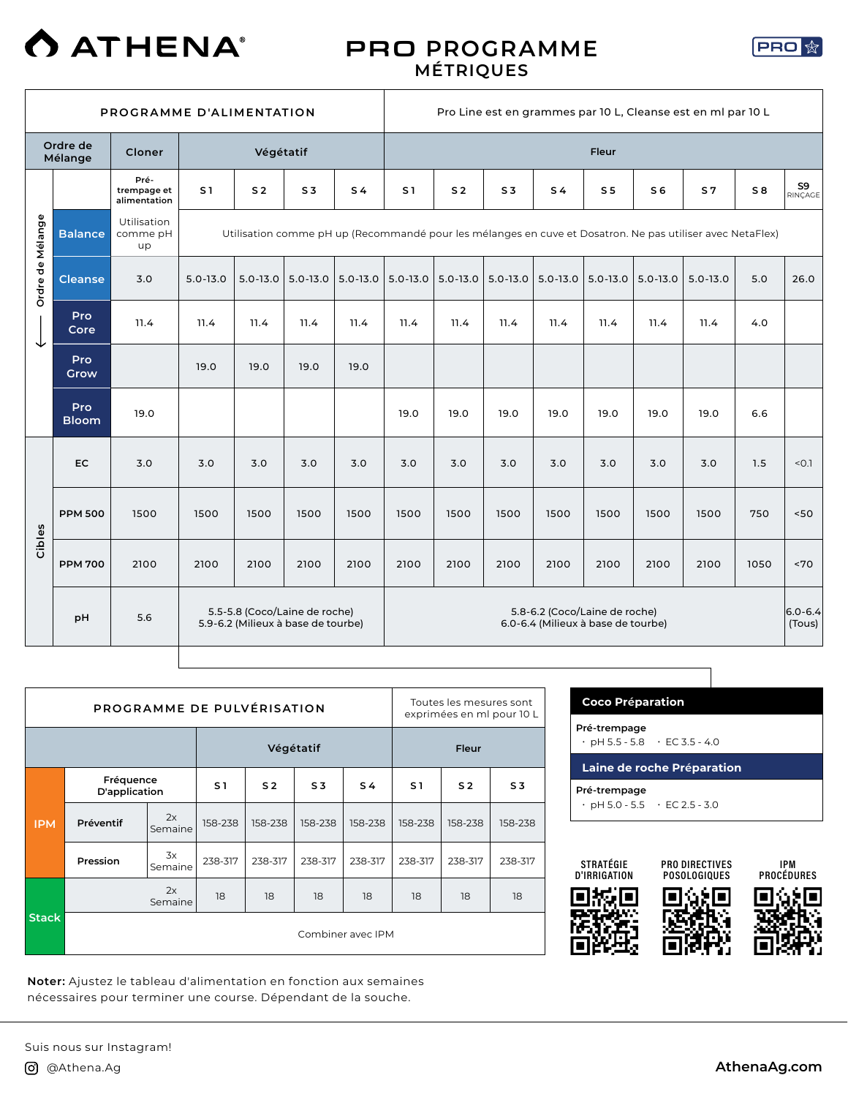

#### PRO **PROGRAMME MÉTRIQUES**



|                  |                     | PROGRAMME D'ALIMENTATION            |                |                                                                     |                |                |                                                                                                           |                |                |                |                |                | Pro Line est en grammes par 10 L, Cleanse est en ml par 10 L |                       |               |
|------------------|---------------------|-------------------------------------|----------------|---------------------------------------------------------------------|----------------|----------------|-----------------------------------------------------------------------------------------------------------|----------------|----------------|----------------|----------------|----------------|--------------------------------------------------------------|-----------------------|---------------|
|                  | Ordre de<br>Mélange | Cloner                              |                | Végétatif                                                           |                |                | Fleur                                                                                                     |                |                |                |                |                |                                                              |                       |               |
|                  |                     | Pré-<br>trempage et<br>alimentation | S <sub>1</sub> | S <sub>2</sub>                                                      | S <sub>3</sub> | S <sub>4</sub> | S <sub>1</sub>                                                                                            | S <sub>2</sub> | S <sub>3</sub> | S <sub>4</sub> | S <sub>5</sub> | S <sub>6</sub> | S <sub>7</sub>                                               | S8                    | S9<br>RINCAGE |
| Ordre de Mélange | <b>Balance</b>      | Utilisation<br>comme pH<br>up       |                |                                                                     |                |                | Utilisation comme pH up (Recommandé pour les mélanges en cuve et Dosatron. Ne pas utiliser avec NetaFlex) |                |                |                |                |                |                                                              |                       |               |
|                  | <b>Cleanse</b>      | 3.0                                 | $5.0 - 13.0$   | $5.0 - 13.0$                                                        | $5.0 - 13.0$   | $5.0 - 13.0$   | $5.0 - 13.0$                                                                                              | $5.0 - 13.0$   | $5.0 - 13.0$   | $5.0 - 13.0$   | $5.0 - 13.0$   | $5.0 - 13.0$   | $5.0 - 13.0$                                                 | 5.0                   | 26.0          |
| ◡                | Pro<br>Core         | 11.4                                | 11.4           | 11.4                                                                | 11.4           | 11.4           | 11.4                                                                                                      | 11.4           | 11.4           | 11.4           | 11.4           | 11.4           | 11.4                                                         | 4.0                   |               |
|                  | <b>Pro</b><br>Grow  |                                     | 19.0           | 19.0                                                                | 19.0           | 19.0           |                                                                                                           |                |                |                |                |                |                                                              |                       |               |
|                  | Pro<br><b>Bloom</b> | 19.0                                |                |                                                                     |                |                | 19.0                                                                                                      | 19.0           | 19.0           | 19.0           | 19.0           | 19.0           | 19.0                                                         | 6.6                   |               |
|                  | <b>EC</b>           | 3.0                                 | 3.0            | 3.0                                                                 | 3.0            | 3.0            | 3.0                                                                                                       | 3.0            | 3.0            | 3.0            | 3.0            | 3.0            | 3.0                                                          | 1.5                   | < 0.1         |
|                  | <b>PPM 500</b>      | 1500                                | 1500           | 1500                                                                | 1500           | 1500           | 1500                                                                                                      | 1500           | 1500           | 1500           | 1500           | 1500           | 1500                                                         | 750                   | $<50$         |
| Cibles           | <b>PPM 700</b>      | 2100                                | 2100           | 2100                                                                | 2100           | 2100           | 2100                                                                                                      | 2100           | 2100           | 2100           | 2100           | 2100           | 2100                                                         | 1050                  | ~5            |
|                  | pH                  | 5.6                                 |                | 5.5-5.8 (Coco/Laine de roche)<br>5.9-6.2 (Milieux à base de tourbe) |                |                | 5.8-6.2 (Coco/Laine de roche)<br>6.0-6.4 (Milieux à base de tourbe)                                       |                |                |                |                |                |                                                              | $6.0 - 6.4$<br>(Tous) |               |

|              | PROGRAMME DE PULVÉRISATION |               |                   |                |                |                | Toutes les mesures sont<br>exprimées en ml pour 10 L |                |         |  |
|--------------|----------------------------|---------------|-------------------|----------------|----------------|----------------|------------------------------------------------------|----------------|---------|--|
|              |                            |               |                   |                | Végétatif      | Fleur          |                                                      |                |         |  |
|              | Fréquence<br>D'application |               | S <sub>1</sub>    | S <sub>2</sub> | S <sub>3</sub> | S <sub>4</sub> | S1                                                   | S <sub>2</sub> | S 3     |  |
| <b>IPM</b>   | Préventif                  | 2x<br>Semaine | 158-238           | 158-238        | 158-238        | 158-238        | 158-238                                              | 158-238        | 158-238 |  |
|              | Pression                   | 3x<br>Semaine | 238-317           | 238-317        | 238-317        | 238-317        | 238-317                                              | 238-317        | 238-317 |  |
|              |                            | 2x<br>Semaine | 18                | 18             | 18             | 18             | 18                                                   | 18             | 18      |  |
| <b>Stack</b> |                            |               | Combiner avec IPM |                |                |                |                                                      |                |         |  |

**Noter:** Ajustez le tableau d'alimentation en fonction aux semaines nécessaires pour terminer une course. Dépendant de la souche.

 $\overline{\phantom{a}}$ 

| <b>Coco Préparation</b>                                   |                            |  |  |  |  |  |  |  |  |
|-----------------------------------------------------------|----------------------------|--|--|--|--|--|--|--|--|
| Pré-trempage<br>$\cdot$ pH 5.5 - 5.8 $\cdot$ EC 3.5 - 4.0 |                            |  |  |  |  |  |  |  |  |
|                                                           | Laine de roche Préparation |  |  |  |  |  |  |  |  |
| Pré-trempage<br>$\cdot$ pH 5.0 - 5.5 $\cdot$ EC 2.5 - 3.0 |                            |  |  |  |  |  |  |  |  |



PRO DIRECTIVES POSOLOGIQUES

IPM **PROCÉDURES** 



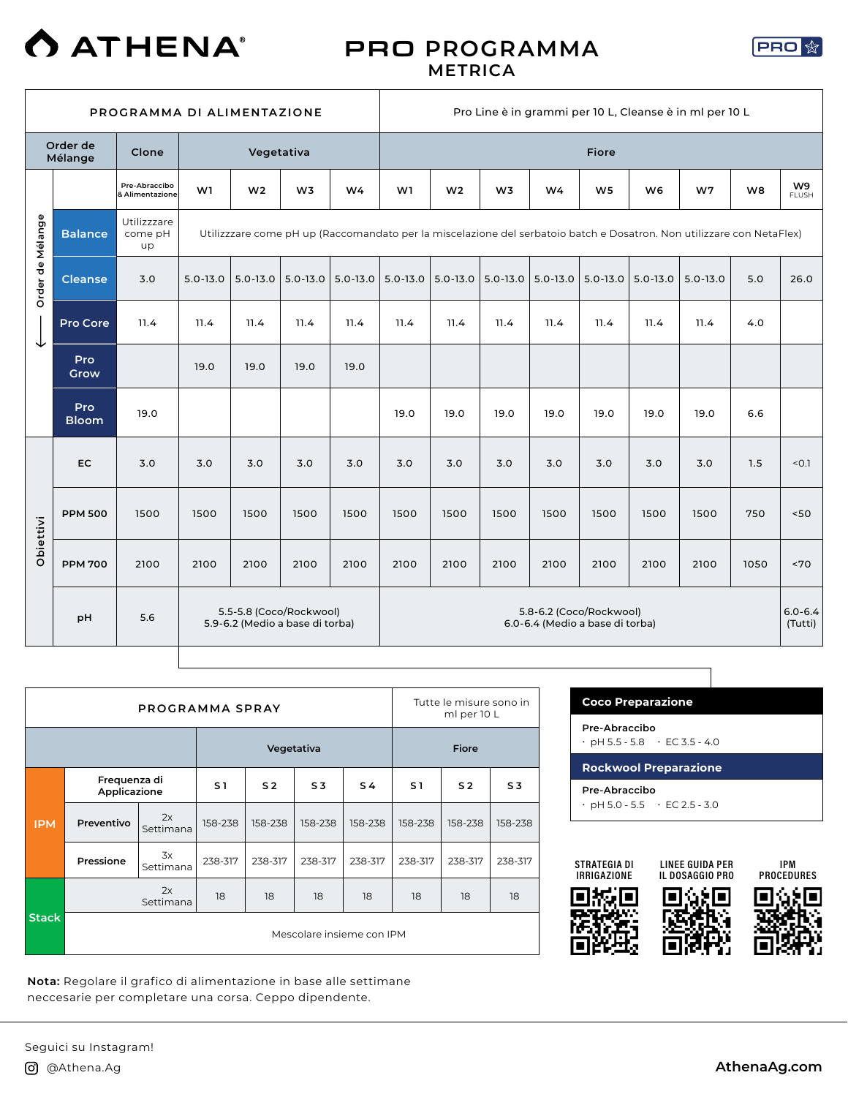

#### PRO **PROGRAMMA METRICA**



|                  |                     | PROGRAMMA DI ALIMENTAZIONE       |              |                |                                                            |                |              |                |                |                                                            |                |                | Pro Line è in grammi per 10 L, Cleanse è in ml per 10 L                                                               |      |                        |
|------------------|---------------------|----------------------------------|--------------|----------------|------------------------------------------------------------|----------------|--------------|----------------|----------------|------------------------------------------------------------|----------------|----------------|-----------------------------------------------------------------------------------------------------------------------|------|------------------------|
|                  | Order de<br>Mélange | Clone                            |              | Vegetativa     |                                                            |                |              | <b>Fiore</b>   |                |                                                            |                |                |                                                                                                                       |      |                        |
|                  |                     | Pre-Abraccibo<br>& Alimentazione | W1           | W <sub>2</sub> | W <sub>3</sub>                                             | W <sub>4</sub> | W1           | W <sub>2</sub> | W <sub>3</sub> | W4                                                         | W <sub>5</sub> | W <sub>6</sub> | W <sub>7</sub>                                                                                                        | W8   | W9<br><b>FLUSH</b>     |
| Order de Mélange | <b>Balance</b>      | Utilizzzare<br>come pH<br>up     |              |                |                                                            |                |              |                |                |                                                            |                |                | Utilizzzare come pH up (Raccomandato per la miscelazione del serbatoio batch e Dosatron. Non utilizzare con NetaFlex) |      |                        |
|                  | <b>Cleanse</b>      | 3.0                              | $5.0 - 13.0$ | $5.0 - 13.0$   | $5.0 - 13.0$                                               | $5.0 - 13.0$   | $5.0 - 13.0$ | $5.0 - 13.0$   | $5.0 - 13.0$   | $5.0 - 13.0$                                               | $5.0 - 13.0$   | $5.0 - 13.0$   | $5.0 - 13.0$                                                                                                          | 5.0  | 26.0                   |
| ↓                | <b>Pro Core</b>     | 11.4                             | 11.4         | 11.4           | 11.4                                                       | 11.4           | 11.4         | 11.4           | 11.4           | 11.4                                                       | 11.4           | 11.4           | 11.4                                                                                                                  | 4.0  |                        |
|                  | Pro<br>Grow         |                                  | 19.0         | 19.0           | 19.0                                                       | 19.0           |              |                |                |                                                            |                |                |                                                                                                                       |      |                        |
|                  | Pro<br><b>Bloom</b> | 19.0                             |              |                |                                                            |                | 19.0         | 19.0           | 19.0           | 19.0                                                       | 19.0           | 19.0           | 19.0                                                                                                                  | 6.6  |                        |
|                  | EC                  | 3.0                              | 3.0          | 3.0            | 3.0                                                        | 3.0            | 3.0          | 3.0            | 3.0            | 3.0                                                        | 3.0            | 3.0            | 3.0                                                                                                                   | 1.5  | < 0.1                  |
|                  | <b>PPM 500</b>      | 1500                             | 1500         | 1500           | 1500                                                       | 1500           | 1500         | 1500           | 1500           | 1500                                                       | 1500           | 1500           | 1500                                                                                                                  | 750  | 50<                    |
| Obiettivi        | <b>PPM 700</b>      | 2100                             | 2100         | 2100           | 2100                                                       | 2100           | 2100         | 2100           | 2100           | 2100                                                       | 2100           | 2100           | 2100                                                                                                                  | 1050 | ~5                     |
|                  | pH                  | 5.6                              |              |                | 5.5-5.8 (Coco/Rockwool)<br>5.9-6.2 (Medio a base di torba) |                |              |                |                | 5.8-6.2 (Coco/Rockwool)<br>6.0-6.4 (Medio a base di torba) |                |                |                                                                                                                       |      | $6.0 - 6.4$<br>(Tutti) |

|              |                              | PROGRAMMA SPRAY |                |                |                |                | Tutte le misure sono in<br>ml per 10 L |                |                |  |  |
|--------------|------------------------------|-----------------|----------------|----------------|----------------|----------------|----------------------------------------|----------------|----------------|--|--|
|              |                              |                 |                | Vegetativa     |                | <b>Fiore</b>   |                                        |                |                |  |  |
|              | Frequenza di<br>Applicazione |                 | S <sub>1</sub> | S <sub>2</sub> | S <sub>3</sub> | S <sub>4</sub> | S <sub>1</sub>                         | S <sub>2</sub> | S <sub>3</sub> |  |  |
| <b>IPM</b>   | Preventivo                   | 2x<br>Settimana | 158-238        | 158-238        | 158-238        | 158-238        | 158-238                                | 158-238        | 158-238        |  |  |
|              | Pressione                    | 3x<br>Settimana | 238-317        | 238-317        | 238-317        | 238-317        | 238-317                                | 238-317        | 238-317        |  |  |
|              |                              | 2x<br>Settimana | 18             | 18             | 18             | 18             | 18                                     | 18             | 18             |  |  |
| <b>Stack</b> | Mescolare insieme con IPM    |                 |                |                |                |                |                                        |                |                |  |  |

**Nota:** Regolare il grafico di alimentazione in base alle settimane neccesarie per completare una corsa. Ceppo dipendente.

| <b>Coco Preparazione</b>     |                                           |  |  |  |  |  |  |  |
|------------------------------|-------------------------------------------|--|--|--|--|--|--|--|
| Pre-Abraccibo                |                                           |  |  |  |  |  |  |  |
|                              | $\cdot$ pH 5.5 - 5.8 $\cdot$ EC 3.5 - 4.0 |  |  |  |  |  |  |  |
| <b>Rockwool Preparazione</b> |                                           |  |  |  |  |  |  |  |
|                              |                                           |  |  |  |  |  |  |  |
| Pre-Abraccibo                |                                           |  |  |  |  |  |  |  |





IPM **PROCEDURES**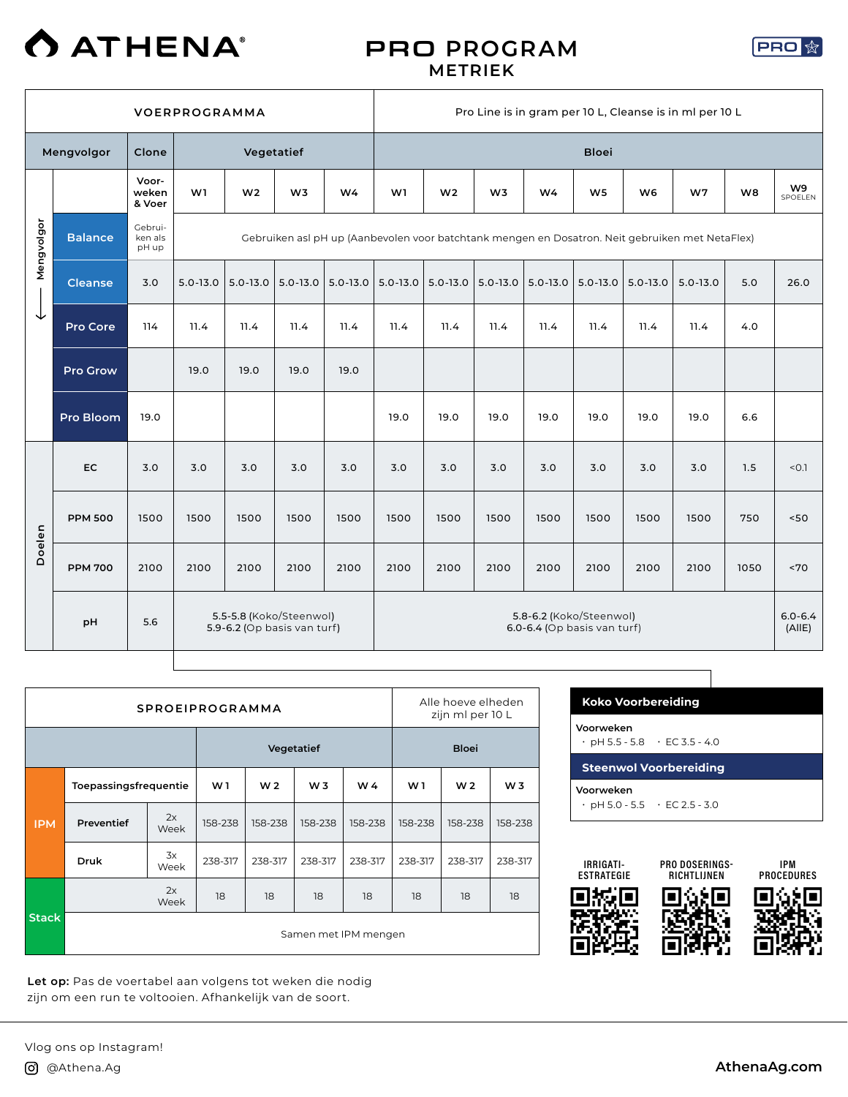

#### PRO **PROGRAM METRIEK**



|            |                 |                             | <b>VOERPROGRAMMA</b> |                                                                                                 |                |                |                                                            | Pro Line is in gram per 10 L, Cleanse is in ml per 10 L |                |                         |                |              |              |      |                       |  |
|------------|-----------------|-----------------------------|----------------------|-------------------------------------------------------------------------------------------------|----------------|----------------|------------------------------------------------------------|---------------------------------------------------------|----------------|-------------------------|----------------|--------------|--------------|------|-----------------------|--|
|            | Mengvolgor      | Clone                       |                      | Vegetatief                                                                                      |                |                |                                                            |                                                         |                |                         | <b>Bloei</b>   |              |              |      |                       |  |
|            |                 | Voor-<br>weken<br>& Voer    | W1                   | W <sub>2</sub>                                                                                  | W <sub>3</sub> | W <sub>4</sub> | W1                                                         | W <sub>2</sub>                                          | W <sub>3</sub> | W4                      | W <sub>5</sub> | W6           | W7           | W8   | W9<br>SPOELEN         |  |
| Mengvolgor | <b>Balance</b>  | Gebrui-<br>ken als<br>pH up |                      | Gebruiken asl pH up (Aanbevolen voor batchtank mengen en Dosatron. Neit gebruiken met NetaFlex) |                |                |                                                            |                                                         |                |                         |                |              |              |      |                       |  |
|            | <b>Cleanse</b>  | 3.0                         | $5.0 - 13.0$         | $5.0 - 13.0$                                                                                    | $5.0 - 13.0$   | $5.0 - 13.0$   |                                                            | $5.0 - 13.0$ 5.0 - 13.0                                 | $5.0 - 13.0$   | $5.0 - 13.0$ 5.0 - 13.0 |                | $5.0 - 13.0$ | $5.0 - 13.0$ | 5.0  | 26.0                  |  |
| ↓          | <b>Pro Core</b> | 114                         | 11.4                 | 11.4                                                                                            | 11.4           | 11.4           | 11.4                                                       | 11.4                                                    | 11.4           | 11.4                    | 11.4           | 11.4         | 11.4         | 4.0  |                       |  |
|            | <b>Pro Grow</b> |                             | 19.0                 | 19.0                                                                                            | 19.0           | 19.0           |                                                            |                                                         |                |                         |                |              |              |      |                       |  |
|            | Pro Bloom       | 19.0                        |                      |                                                                                                 |                |                | 19.0                                                       | 19.0                                                    | 19.0           | 19.0                    | 19.0           | 19.0         | 19.0         | 6.6  |                       |  |
|            | <b>EC</b>       | 3.0                         | 3.0                  | 3.0                                                                                             | 3.0            | 3.0            | 3.0                                                        | 3.0                                                     | 3.0            | 3.0                     | 3.0            | 3.0          | 3.0          | 1.5  | < 0.1                 |  |
|            | <b>PPM 500</b>  | 1500                        | 1500                 | 1500                                                                                            | 1500           | 1500           | 1500                                                       | 1500                                                    | 1500           | 1500                    | 1500           | 1500         | 1500         | 750  | 50                    |  |
| Doelen     | <b>PPM 700</b>  | 2100                        | 2100                 | 2100                                                                                            | 2100           | 2100           | 2100                                                       | 2100                                                    | 2100           | 2100                    | 2100           | 2100         | 2100         | 1050 | ~5                    |  |
|            | pH              | 5.6                         |                      | 5.5-5.8 (Koko/Steenwol)<br>5.9-6.2 (Op basis van turf)                                          |                |                | 5.8-6.2 (Koko/Steenwol)<br>$6.0 - 6.4$ (Op basis van turf) |                                                         |                |                         |                |              |              |      | $6.0 - 6.4$<br>(AllE) |  |

|              |                       |            | <b>SPROEIPROGRAMMA</b> |                |            |              | Alle hoeve elheden<br>zijn ml per 10 L |                |         |  |  |
|--------------|-----------------------|------------|------------------------|----------------|------------|--------------|----------------------------------------|----------------|---------|--|--|
|              |                       |            |                        |                | Vegetatief | <b>Bloei</b> |                                        |                |         |  |  |
|              | Toepassingsfrequentie | W1         | W <sub>2</sub>         | W <sub>3</sub> | W 4        | W 1          | W <sub>2</sub>                         | W <sub>3</sub> |         |  |  |
| <b>IPM</b>   | Preventief            | 2x<br>Week | 158-238                | 158-238        | 158-238    | 158-238      | 158-238                                | 158-238        | 158-238 |  |  |
|              | 3x<br>Druk<br>Week    |            | 238-317                | 238-317        | 238-317    | 238-317      | 238-317                                | 238-317        | 238-317 |  |  |
|              |                       | 2x<br>Week | 18                     | 18             | 18         | 18           | 18                                     | 18             | 18      |  |  |
| <b>Stack</b> | Samen met IPM mengen  |            |                        |                |            |              |                                        |                |         |  |  |

**Let op:** Pas de voertabel aan volgens tot weken die nodig zijn om een run te voltooien. Afhankelijk van de soort.

| <b>Koko Voorbereiding</b>                              |                               |
|--------------------------------------------------------|-------------------------------|
| Voorweken<br>$\cdot$ pH 5.5 - 5.8 $\cdot$ EC 3.5 - 4.0 |                               |
|                                                        | <b>Steenwol Voorbereiding</b> |
| Voorweken                                              |                               |

ヿ





IPM **PROCEDURES**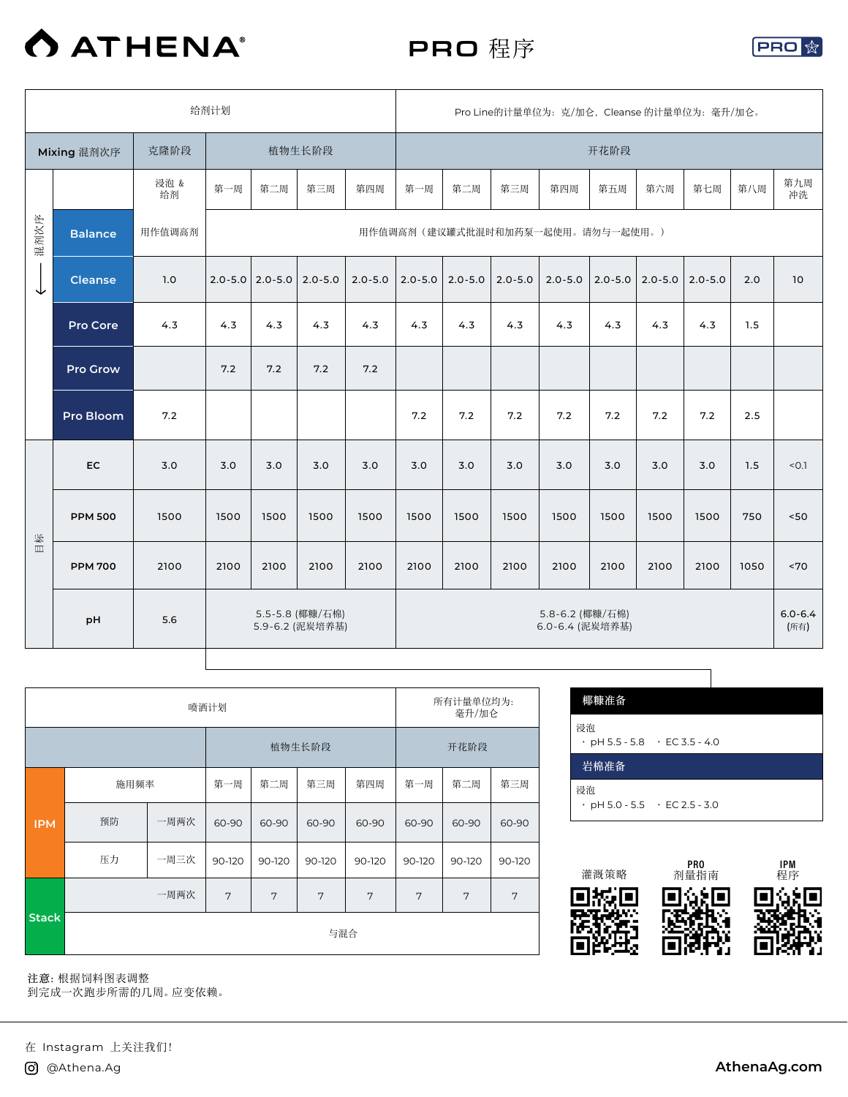

PRO 程序



|      |                |            | 给剂计划                               |                       |             |             | Pro Line的计量单位为: 克/加仑, Cleanse 的计量单位为: 毫升/加仑。 |             |             |             |             |             |             |      |                     |
|------|----------------|------------|------------------------------------|-----------------------|-------------|-------------|----------------------------------------------|-------------|-------------|-------------|-------------|-------------|-------------|------|---------------------|
|      | Mixing 混剂次序    | 克隆阶段       |                                    |                       | 植物生长阶段      |             | 开花阶段                                         |             |             |             |             |             |             |      |                     |
|      |                | 浸泡 &<br>给剂 | 第一周                                | 第二周                   | 第三周         | 第四周         | 第一周                                          | 第二周         | 第三周         | 第四周         | 第五周         | 第六周         | 第七周         | 第八周  | 第九周<br>冲洗           |
| 混剂次序 | <b>Balance</b> | 用作值调高剂     |                                    |                       |             |             | 用作值调高剂 (建议罐式批混时和加药泵一起使用。请勿与一起使用。)            |             |             |             |             |             |             |      |                     |
| ◡    | <b>Cleanse</b> | 1.0        |                                    | $2.0 - 5.0$ 2.0 - 5.0 | $2.0 - 5.0$ | $2.0 - 5.0$ | $2.0 - 5.0$                                  | $2.0 - 5.0$ | $2.0 - 5.0$ | $2.0 - 5.0$ | $2.0 - 5.0$ | $2.0 - 5.0$ | $2.0 - 5.0$ | 2.0  | 10                  |
|      | Pro Core       | 4.3        | 4.3                                | 4.3                   | 4.3         | 4.3         | 4.3                                          | 4.3         | 4.3         | 4.3         | 4.3         | 4.3         | 4.3         | 1.5  |                     |
|      | Pro Grow       |            | 7.2                                | 7.2                   | 7.2         | 7.2         |                                              |             |             |             |             |             |             |      |                     |
|      | Pro Bloom      | 7.2        |                                    |                       |             |             | 7.2                                          | 7.2         | 7.2         | 7.2         | 7.2         | 7.2         | 7.2         | 2.5  |                     |
|      | <b>EC</b>      | 3.0        | 3.0                                | 3.0                   | 3.0         | 3.0         | 3.0                                          | 3.0         | 3.0         | 3.0         | 3.0         | 3.0         | 3.0         | 1.5  | < 0.1               |
|      | <b>PPM 500</b> | 1500       | 1500                               | 1500                  | 1500        | 1500        | 1500                                         | 1500        | 1500        | 1500        | 1500        | 1500        | 1500        | 750  | $<50$               |
| 目标   | <b>PPM 700</b> | 2100       | 2100                               | 2100                  | 2100        | 2100        | 2100                                         | 2100        | 2100        | 2100        | 2100        | 2100        | 2100        | 1050 | ~5                  |
|      | pH             | 5.6        | 5.5-5.8 (椰糠/石棉)<br>5.9-6.2 (泥炭培养基) |                       |             |             | 5.8-6.2 (椰糠/石棉)<br>6.0-6.4 (泥炭培养基)           |             |             |             |             |             |             |      | $6.0 - 6.4$<br>(所有) |

Т

|              |      |      | 喷洒计划   |        |        |        | 所有计量单位均为:<br>毫升/加仑 |        |        |  |  |  |
|--------------|------|------|--------|--------|--------|--------|--------------------|--------|--------|--|--|--|
|              |      |      |        |        | 植物生长阶段 | 开花阶段   |                    |        |        |  |  |  |
|              | 施用频率 |      | 第一周    | 第二周    | 第三周    | 第四周    | 第一周                | 第二周    | 第三周    |  |  |  |
| <b>IPM</b>   | 预防   | 一周两次 | 60-90  | 60-90  | 60-90  | 60-90  | 60-90              | 60-90  | 60-90  |  |  |  |
|              | 压力   | 一周三次 | 90-120 | 90-120 | 90-120 | 90-120 | 90-120             | 90-120 | 90-120 |  |  |  |
|              |      | 一周两次 | 7      | 7      | 7      | 7      | 7                  | 7      | 7      |  |  |  |
| <b>Stack</b> | 与混合  |      |        |        |        |        |                    |        |        |  |  |  |

| 椰糠准备                                            |  |
|-------------------------------------------------|--|
| 浸泡<br>$\cdot$ pH 5.5 - 5.8 $\cdot$ EC 3.5 - 4.0 |  |
| 岩棉准备                                            |  |
| 浸泡<br>$\cdot$ pH 5.0 - 5.5 $\cdot$ EC 2.5 - 3.0 |  |

٦



**注意:**根据饲料图表调整

到完成一次跑步所需的几周。应变依赖。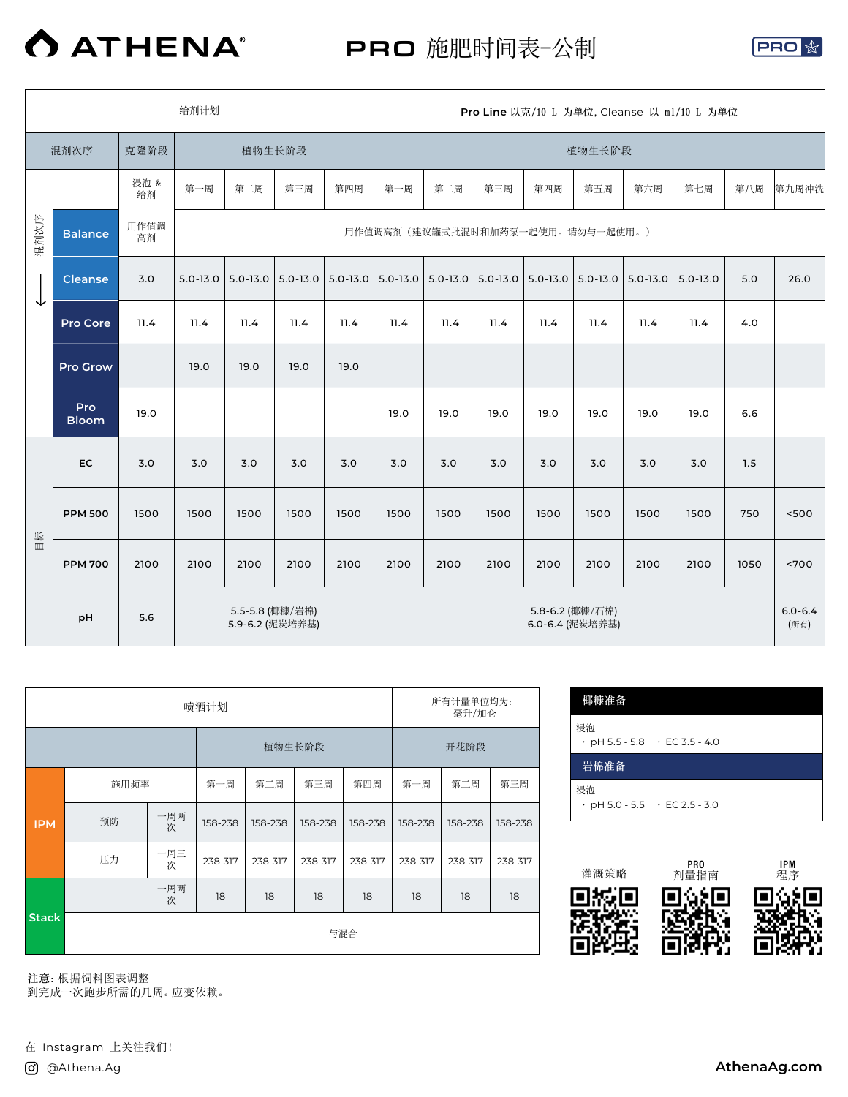

PRO 施肥时间表-公制



|      |                     |            | Pro Line 以克/10 L 为单位, Cleanse 以 ml/10 L 为单位 |                                    |              |              |      |                                   |              |              |                                    |              |              |      |                     |
|------|---------------------|------------|---------------------------------------------|------------------------------------|--------------|--------------|------|-----------------------------------|--------------|--------------|------------------------------------|--------------|--------------|------|---------------------|
|      | 混剂次序                | 克隆阶段       |                                             |                                    | 植物生长阶段       |              |      |                                   |              |              | 植物生长阶段                             |              |              |      |                     |
|      |                     | 浸泡 &<br>给剂 | 第一周                                         | 第二周                                | 第三周          | 第四周          | 第一周  | 第二周                               | 第三周          | 第四周          | 第五周                                | 第六周          | 第七周          | 第八周  | 第九周冲洗               |
| 混剂次序 | <b>Balance</b>      | 用作值调<br>高剂 |                                             |                                    |              |              |      | 用作值调高剂 (建议罐式批混时和加药泵一起使用。请勿与一起使用。) |              |              |                                    |              |              |      |                     |
|      | <b>Cleanse</b>      | 3.0        | $5.0 - 13.0$                                | $5.0 - 13.0$                       | $5.0 - 13.0$ | $5.0 - 13.0$ |      | $5.0 - 13.0$ 5.0 - 13.0           | $5.0 - 13.0$ | $5.0 - 13.0$ | $  5.0 - 13.0  $                   | $5.0 - 13.0$ | $5.0 - 13.0$ | 5.0  | 26.0                |
| ↓    | Pro Core            | 11.4       | 11.4                                        | 11.4                               | 11.4         | 11.4         | 11.4 | 11.4                              | 11.4         | 11.4         | 11.4                               | 11.4         | 11.4         | 4.0  |                     |
|      | Pro Grow            |            | 19.0                                        | 19.0                               | 19.0         | 19.0         |      |                                   |              |              |                                    |              |              |      |                     |
|      | Pro<br><b>Bloom</b> | 19.0       |                                             |                                    |              |              | 19.0 | 19.0                              | 19.0         | 19.0         | 19.0                               | 19.0         | 19.0         | 6.6  |                     |
|      | <b>EC</b>           | 3.0        | 3.0                                         | 3.0                                | 3.0          | 3.0          | 3.0  | 3.0                               | 3.0          | 3.0          | 3.0                                | 3.0          | 3.0          | 1.5  |                     |
|      | <b>PPM 500</b>      | 1500       | 1500                                        | 1500                               | 1500         | 1500         | 1500 | 1500                              | 1500         | 1500         | 1500                               | 1500         | 1500         | 750  | 500                 |
| 目标   | <b>PPM 700</b>      | 2100       | 2100                                        | 2100                               | 2100         | 2100         | 2100 | 2100                              | 2100         | 2100         | 2100                               | 2100         | 2100         | 1050 | < 700               |
|      | pH                  | 5.6        |                                             | 5.5-5.8 (椰糠/岩棉)<br>5.9-6.2 (泥炭培养基) |              |              |      |                                   |              |              | 5.8-6.2 (椰糠/石棉)<br>6.0-6.4 (泥炭培养基) |              |              |      | $6.0 - 6.4$<br>(所有) |

|              |      |          | 喷洒计划    |         |         |         | 所有计量单位均为:<br>毫升/加仑 |         |         |  |  |
|--------------|------|----------|---------|---------|---------|---------|--------------------|---------|---------|--|--|
|              |      |          |         |         | 植物生长阶段  |         | 开花阶段               |         |         |  |  |
|              | 施用频率 |          | 第一周     | 第二周     | 第三周     | 第四周     | 第一周                | 第二周     | 第三周     |  |  |
| <b>IPM</b>   | 预防   | 一周两<br>次 | 158-238 | 158-238 | 158-238 | 158-238 | 158-238            | 158-238 | 158-238 |  |  |
|              | 压力   | 一周三<br>次 | 238-317 | 238-317 | 238-317 | 238-317 | 238-317            | 238-317 | 238-317 |  |  |
|              |      | 一周两<br>次 | 18      | 18      | 18      | 18      | 18                 | 18      | 18      |  |  |
| <b>Stack</b> |      |          |         |         | 与混合     |         |                    |         |         |  |  |

| 椰糠准备<br>浸泡                                      |  |
|-------------------------------------------------|--|
| $\cdot$ pH 5.5 - 5.8 $\cdot$ EC 3.5 - 4.0       |  |
| 岩棉准备                                            |  |
| 浸泡<br>$\cdot$ pH 5.0 - 5.5 $\cdot$ EC 2.5 - 3.0 |  |

ヿ



**注意:**根据饲料图表调整

到完成一次跑步所需的几周。应变依赖。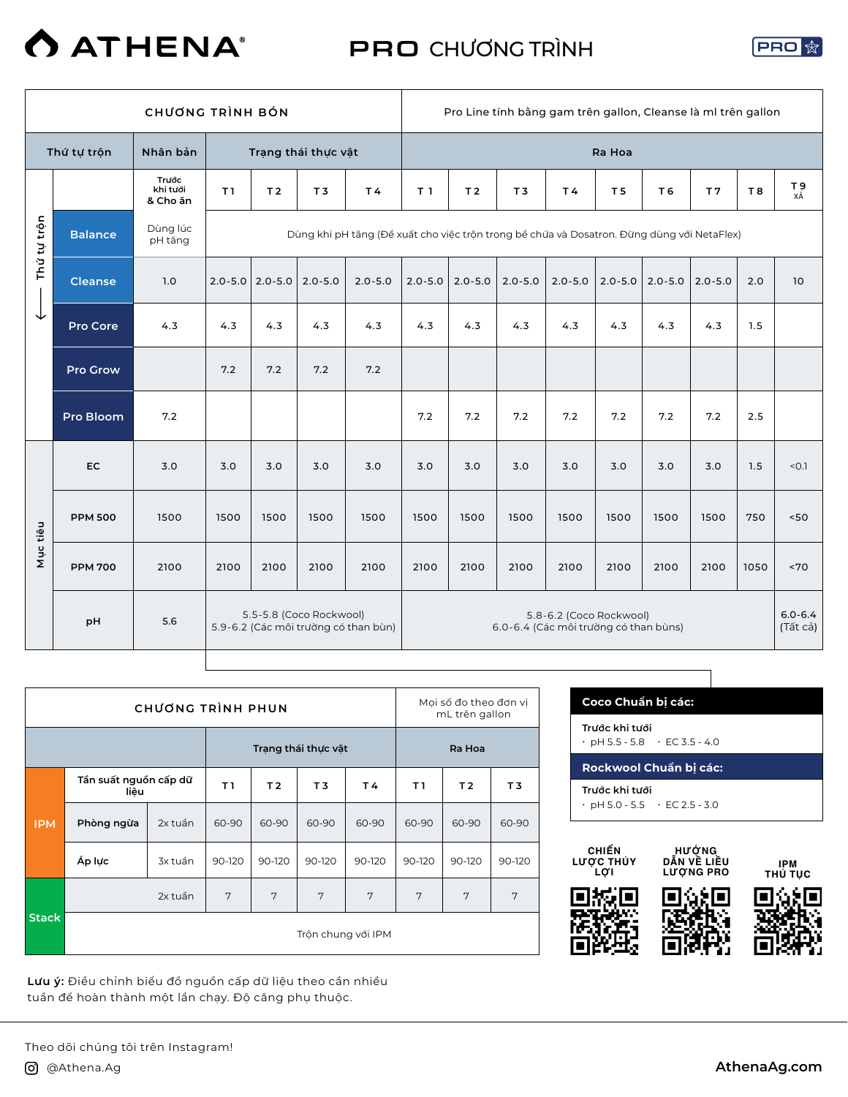

PRO CHƯƠNG TRÌNH



|             |                |                               | Pro Line tính bằng gam trên gallon, Cleanse là mi trên gallon |                |                         |                                                                                            |                |                |                |                                                                  |                |             |                |           |                         |
|-------------|----------------|-------------------------------|---------------------------------------------------------------|----------------|-------------------------|--------------------------------------------------------------------------------------------|----------------|----------------|----------------|------------------------------------------------------------------|----------------|-------------|----------------|-----------|-------------------------|
|             | Thứ tự trộn    | Nhân bản                      |                                                               |                | Trạng thái thực vật     |                                                                                            |                |                |                |                                                                  | Ra Hoa         |             |                |           |                         |
|             |                | Trước<br>khi tưới<br>& Cho ăn | T1                                                            | T <sub>2</sub> | T <sub>3</sub>          | T4                                                                                         | T <sub>1</sub> | T <sub>2</sub> | T <sub>3</sub> | <b>T4</b>                                                        | T <sub>5</sub> | T 6         | T <sub>7</sub> | <b>T8</b> | T9<br>XÅ                |
| Thứ tự trộn | <b>Balance</b> | Dùng lúc<br>pH tăng           |                                                               |                |                         | Dùng khi pH tăng (Đề xuất cho việc trôn trong bề chứa và Dosatron. Đừng dùng với NetaFlex) |                |                |                |                                                                  |                |             |                |           |                         |
|             | <b>Cleanse</b> | 1.0                           | $2.0 - 5.0$                                                   | $ 2.0 - 5.0 $  | $2.0 - 5.0$             | $2.0 - 5.0$                                                                                | $2.0 - 5.0$    | $2.0 - 5.0$    | $2.0 - 5.0$    | $2.0 - 5.0$                                                      | $2.0 - 5.0$    | $2.0 - 5.0$ | $2.0 - 5.0$    | 2.0       | 10                      |
| ↓           | Pro Core       | 4.3                           | 4.3                                                           | 4.3            | 4.3                     | 4.3                                                                                        | 4.3            | 4.3            | 4.3            | 4.3                                                              | 4.3            | 4.3         | 4.3            | 1.5       |                         |
|             | Pro Grow       |                               | 7.2                                                           | 7.2            | 7.2                     | 7.2                                                                                        |                |                |                |                                                                  |                |             |                |           |                         |
|             | Pro Bloom      | 7.2                           |                                                               |                |                         |                                                                                            | 7.2            | 7.2            | 7.2            | 7.2                                                              | 7.2            | 7.2         | 7.2            | 2.5       |                         |
|             | EC             | 3.0                           | 3.0                                                           | 3.0            | 3.0                     | 3.0                                                                                        | 3.0            | 3.0            | 3.0            | 3.0                                                              | 3.0            | 3.0         | 3.0            | 1.5       | < 0.1                   |
|             | <b>PPM 500</b> | 1500                          | 1500                                                          | 1500           | 1500                    | 1500                                                                                       | 1500           | 1500           | 1500           | 1500                                                             | 1500           | 1500        | 1500           | 750       | 50<                     |
| Mục tiêu    | <b>PPM 700</b> | 2100                          | 2100                                                          | 2100           | 2100                    | 2100                                                                                       | 2100           | 2100           | 2100           | 2100                                                             | 2100           | 2100        | 2100           | 1050      | ~170                    |
|             | pH             | 5.6                           |                                                               |                | 5.5-5.8 (Coco Rockwool) | 5.9-6.2 (Các môi trường có than bùn)                                                       |                |                |                | 5.8-6.2 (Coco Rockwool)<br>6.0-6.4 (Các môi trường có than bùns) |                |             |                |           | $6.0 - 6.4$<br>(Tất cả) |

|              |                               | CHƯƠNG TRÌNH PHUN |                    | Moi số đo theo đơn vi<br>mL trên gallon |                     |        |        |        |        |  |  |
|--------------|-------------------------------|-------------------|--------------------|-----------------------------------------|---------------------|--------|--------|--------|--------|--|--|
|              |                               |                   |                    |                                         | Trạng thái thực vật |        | Ra Hoa |        |        |  |  |
|              | Tần suất nguồn cấp dữ<br>liêu |                   | T1                 | T <sub>2</sub>                          | T3                  | T4     | T I    | T3     |        |  |  |
| <b>IPM</b>   | Phòng ngừa                    | 2x tuần           | 60-90              | 60-90                                   | 60-90               | 60-90  | 60-90  | 60-90  | 60-90  |  |  |
|              | Áp lực                        | 3x tuần           | 90-120             | 90-120                                  | 90-120              | 90-120 | 90-120 | 90-120 | 90-120 |  |  |
|              |                               | 2x tuần           | 7                  | 7                                       | 7                   | 7      | 7      | 7      | 7      |  |  |
| <b>Stack</b> |                               |                   | Trôn chung với IPM |                                         |                     |        |        |        |        |  |  |

**Lưu ý:** Điều chỉnh biểu đồ nguồn cấp dữ liệu theo cần nhiều tuần để hoàn thành một lần chạy. Độ căng phụ thuộc.

| Trước khi tưới<br>$\cdot$ pH 5.5 - 5.8 $\cdot$ EC 3.5 - 4.0 |  |
|-------------------------------------------------------------|--|
| Rockwool Chuẩn bị các:                                      |  |
| Trước khi tưới<br>$\cdot$ pH 5.0 - 5.5 $\cdot$ EC 2.5 - 3.0 |  |

٦



**HƯỚNG DẪN VỀ LIỀU LƯỢNG PRO**

**IPM THỦ TỤC**

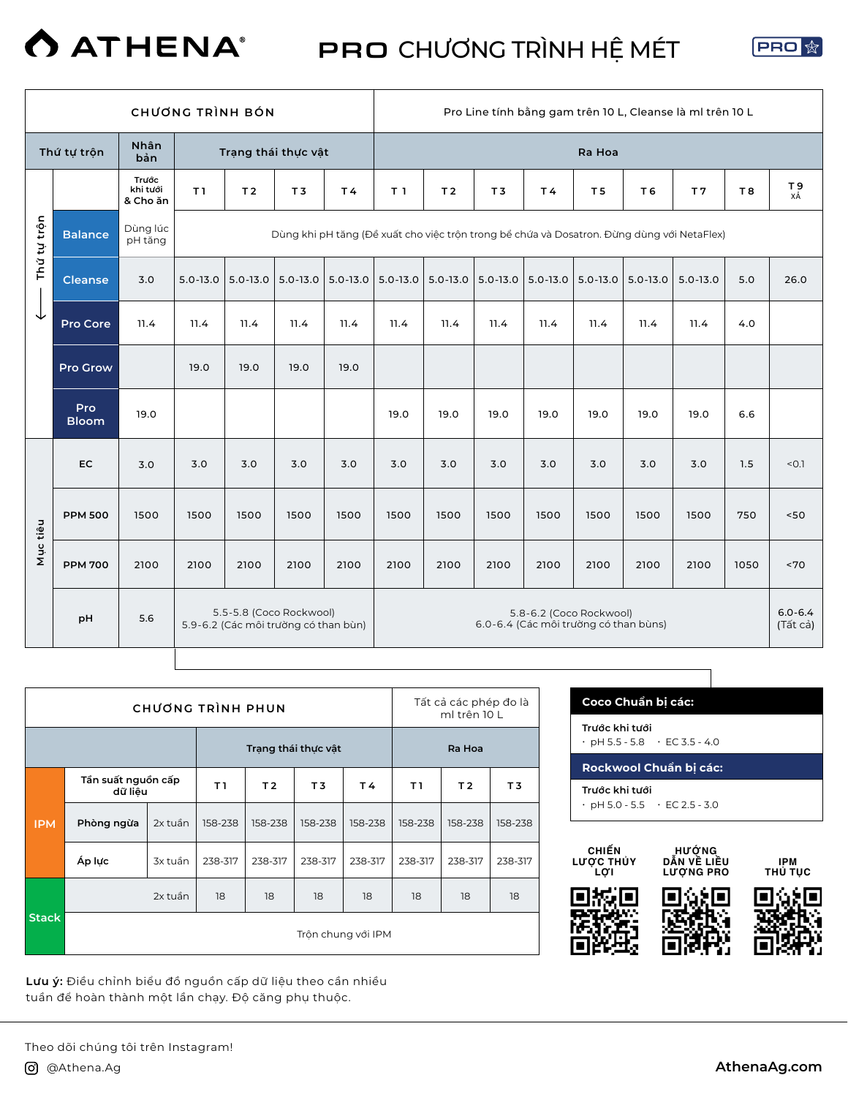

PRO CHƯƠNG TRÌNH HỆ MÉT



|             |                     |                               |              | <b>CHUONG TRÌNH BÓN</b>                                         |                |              | Pro Line tính bằng gam trên 10 L, Cleanse là ml trên 10 L |                |                |              |                                                                  |                |                                                                                            |      |                         |  |
|-------------|---------------------|-------------------------------|--------------|-----------------------------------------------------------------|----------------|--------------|-----------------------------------------------------------|----------------|----------------|--------------|------------------------------------------------------------------|----------------|--------------------------------------------------------------------------------------------|------|-------------------------|--|
|             | Thứ tự trộn         | Nhân<br>bản                   |              | Trạng thái thực vật                                             |                |              |                                                           |                |                |              | Ra Hoa                                                           |                |                                                                                            |      |                         |  |
|             |                     | Trước<br>khi tưới<br>& Cho ăn | T1           | T <sub>2</sub>                                                  | T <sub>3</sub> | T4           | T <sub>1</sub>                                            | T <sub>2</sub> | T <sub>3</sub> | T4           | T <sub>5</sub>                                                   | T <sub>6</sub> | T <sub>7</sub>                                                                             | T8   | T <sub>9</sub><br>ΧÅ    |  |
| Thứ tự trộn | <b>Balance</b>      | Dùng lúc<br>pH tăng           |              |                                                                 |                |              |                                                           |                |                |              |                                                                  |                | Dùng khi pH tăng (Đề xuất cho việc trôn trong bề chứa và Dosatron. Đừng dùng với NetaFlex) |      |                         |  |
|             | <b>Cleanse</b>      | 3.0                           | $5.0 - 13.0$ | $5.0 - 13.0$                                                    | $5.0 - 13.0$   | $5.0 - 13.0$ | $5.0 - 13.0$                                              | 5.0-13.0       | $5.0 - 13.0$   | $5.0 - 13.0$ | $5.0 - 13.0$                                                     | $5.0 - 13.0$   | $5.0 - 13.0$                                                                               | 5.0  | 26.0                    |  |
| ↓           | Pro Core            | 11.4                          | 11.4         | 11.4                                                            | 11.4           | 11.4         | 11.4                                                      | 11.4           | 11.4           | 11.4         | 11.4                                                             | 11.4           | 11.4                                                                                       | 4.0  |                         |  |
|             | <b>Pro Grow</b>     |                               | 19.0         | 19.0                                                            | 19.0           | 19.0         |                                                           |                |                |              |                                                                  |                |                                                                                            |      |                         |  |
|             | Pro<br><b>Bloom</b> | 19.0                          |              |                                                                 |                |              | 19.0                                                      | 19.0           | 19.0           | 19.0         | 19.0                                                             | 19.0           | 19.0                                                                                       | 6.6  |                         |  |
|             | <b>EC</b>           | 3.0                           | 3.0          | 3.0                                                             | 3.0            | 3.0          | 3.0                                                       | 3.0            | 3.0            | 3.0          | 3.0                                                              | 3.0            | 3.0                                                                                        | 1.5  | < 0.1                   |  |
|             | <b>PPM 500</b>      | 1500                          | 1500         | 1500                                                            | 1500           | 1500         | 1500                                                      | 1500           | 1500           | 1500         | 1500                                                             | 1500           | 1500                                                                                       | 750  | 50                      |  |
| Mục tiêu    | <b>PPM 700</b>      | 2100                          | 2100         | 2100                                                            | 2100           | 2100         | 2100                                                      | 2100           | 2100           | 2100         | 2100                                                             | 2100           | 2100                                                                                       | 1050 | ~5                      |  |
|             | pH                  | 5.6                           |              | 5.5-5.8 (Coco Rockwool)<br>5.9-6.2 (Các môi trường có than bùn) |                |              |                                                           |                |                |              | 5.8-6.2 (Coco Rockwool)<br>6.0-6.4 (Các môi trường có than bùns) |                |                                                                                            |      | $6.0 - 6.4$<br>(Tất cả) |  |
|             |                     |                               |              |                                                                 |                |              |                                                           |                |                |              |                                                                  |                |                                                                                            |      |                         |  |

|              |                               | CHƯƠNG TRÌNH PHUN |         |                |                     | Tất cả các phép đo là<br>ml trên 10 L |         |                |         |  |  |  |
|--------------|-------------------------------|-------------------|---------|----------------|---------------------|---------------------------------------|---------|----------------|---------|--|--|--|
|              |                               |                   |         |                | Trạng thái thực vật |                                       | Ra Hoa  |                |         |  |  |  |
|              | Tần suất nguồn cấp<br>dữ liêu |                   | T I     | T <sub>2</sub> | T3                  | T4                                    | T I     | T <sub>2</sub> | T3      |  |  |  |
| <b>IPM</b>   | Phòng ngừa                    | 2x tuần           | 158-238 | 158-238        | 158-238             | 158-238                               | 158-238 | 158-238        | 158-238 |  |  |  |
|              | Áp lực                        | 238-317           | 238-317 | 238-317        | 238-317             | 238-317                               | 238-317 | 238-317        |         |  |  |  |
|              |                               | 2x tuần           | 18      | 18             | 18                  | 18                                    | 18      | 18             | 18      |  |  |  |
| <b>Stack</b> | Trôn chung với IPM            |                   |         |                |                     |                                       |         |                |         |  |  |  |

**Lưu ý:** Điều chỉnh biểu đồ nguồn cấp dữ liệu theo cần nhiều tuần để hoàn thành một lần chạy. Độ căng phụ thuộc.

| Trước khi tưới<br>$\cdot$ pH 5.5 - 5.8 $\cdot$ EC 3.5 - 4.0 |                        |
|-------------------------------------------------------------|------------------------|
|                                                             | Rockwool Chuẩn bi các: |
| Trước khi tưới<br>$\cdot$ pH 5.0 - 5.5 $\cdot$ EC 2.5 - 3.0 |                        |



**HƯỚNG DẪN VỀ LIỀU LƯỢNG PRO**

**IPM THỦ TỤC**

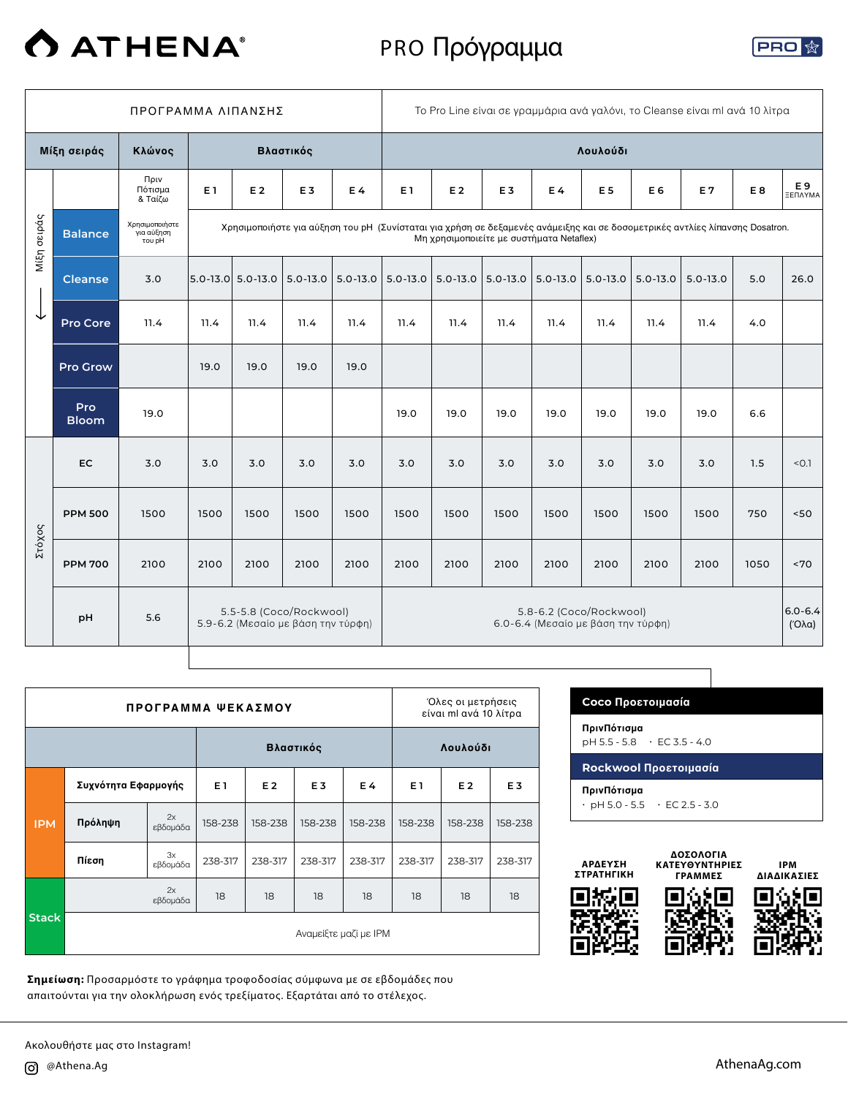

# PRO Πρόγραμμα



|             | ΠΡΟΓΡΑΜΜΑ ΛΙΠΑΝΣΗΣ         |                                        |      |                   |                                                               |              | To Pro Line είναι σε γραμμάρια ανά γαλόνι, το Cleanse είναι ml ανά 10 λίτρα |              |                                          |                                                               |                |                |                                                                                                                              |      |                                    |
|-------------|----------------------------|----------------------------------------|------|-------------------|---------------------------------------------------------------|--------------|-----------------------------------------------------------------------------|--------------|------------------------------------------|---------------------------------------------------------------|----------------|----------------|------------------------------------------------------------------------------------------------------------------------------|------|------------------------------------|
|             | Μίξη σειράς                | Κλώνος                                 |      |                   | Βλαστικός                                                     |              |                                                                             |              |                                          |                                                               | Λουλούδι       |                |                                                                                                                              |      |                                    |
|             |                            | Πριν<br>Πότισμα<br>& Ταίζω             | E 1  | E 2               | E <sub>3</sub>                                                | E4           | E1                                                                          | E 2          | E <sub>3</sub>                           | E 4                                                           | E <sub>5</sub> | E <sub>6</sub> | E 7                                                                                                                          | E8   | E 9<br>ΞΕΠΛΥΜΑ                     |
| Μίξη σειράς | <b>Balance</b>             | Χρησιμοποιήστε<br>για αύξηση<br>του pH |      |                   |                                                               |              |                                                                             |              | Μη χρησιμοποιείτε με συστήματα Netaflex) |                                                               |                |                | Χρησιμοποιήστε για αύξηση του pH (Συνίσταται για χρήση σε δεξαμενές ανάμειξης και σε δοσομετρικές αντλίες λίπανσης Dosatron. |      |                                    |
|             | <b>Cleanse</b>             | 3.0                                    |      | 5.0-13.0 5.0-13.0 | $5.0 - 13.0$                                                  | $5.0 - 13.0$ | $5.0 - 13.0$                                                                | $5.0 - 13.0$ | $  5.0 - 13.0  $                         | $5.0 - 13.0$                                                  | $5.0 - 13.0$   | $5.0 - 13.0$   | $5.0 - 13.0$                                                                                                                 | 5.0  | 26.0                               |
| ↓           | Pro Core                   | 11.4                                   | 11.4 | 11.4              | 11.4                                                          | 11.4         | 11.4                                                                        | 11.4         | 11.4                                     | 11.4                                                          | 11.4           | 11.4           | 11.4                                                                                                                         | 4.0  |                                    |
|             | <b>Pro Grow</b>            |                                        | 19.0 | 19.0              | 19.0                                                          | 19.0         |                                                                             |              |                                          |                                                               |                |                |                                                                                                                              |      |                                    |
|             | <b>Pro</b><br><b>Bloom</b> | 19.0                                   |      |                   |                                                               |              | 19.0                                                                        | 19.0         | 19.0                                     | 19.0                                                          | 19.0           | 19.0           | 19.0                                                                                                                         | 6.6  |                                    |
|             | <b>EC</b>                  | 3.0                                    | 3.0  | 3.0               | 3.0                                                           | 3.0          | 3.0                                                                         | 3.0          | 3.0                                      | 3.0                                                           | 3.0            | 3.0            | 3.0                                                                                                                          | 1.5  | < 0.1                              |
|             | <b>PPM 500</b>             | 1500                                   | 1500 | 1500              | 1500                                                          | 1500         | 1500                                                                        | 1500         | 1500                                     | 1500                                                          | 1500           | 1500           | 1500                                                                                                                         | 750  | 50<                                |
| Στόχος      | <b>PPM 700</b>             | 2100                                   | 2100 | 2100              | 2100                                                          | 2100         | 2100                                                                        | 2100         | 2100                                     | 2100                                                          | 2100           | 2100           | 2100                                                                                                                         | 1050 | ~170                               |
|             | pH                         | 5.6                                    |      |                   | 5.5-5.8 (Coco/Rockwool)<br>5.9-6.2 (Μεσαίο με βάση την τύρφη) |              |                                                                             |              |                                          | 5.8-6.2 (Coco/Rockwool)<br>6.0-6.4 (Μεσαίο με βάση την τύρφη) |                |                |                                                                                                                              |      | $6.0 - 6.4$<br>$(′O\lambda\alpha)$ |

|              |                       | ПРОГРАММА ФЕКАΣМОҮ |                |           |                       |         | Όλες οι μετρήσεις<br>είναι ml ανά 10 λίτρα |         |                |  |  |  |
|--------------|-----------------------|--------------------|----------------|-----------|-----------------------|---------|--------------------------------------------|---------|----------------|--|--|--|
|              |                       |                    |                | Βλαστικός |                       |         | Λουλούδι                                   |         |                |  |  |  |
|              | Συχνότητα Εφαρμογής   |                    | E <sub>1</sub> | E 2       | E <sub>3</sub><br>E 4 |         | E <sub>1</sub><br>E <sub>2</sub>           |         | E <sub>3</sub> |  |  |  |
| <b>IPM</b>   | Πρόληψη               | 2x<br>εβδομάδα     | 158-238        | 158-238   | 158-238               | 158-238 | 158-238                                    | 158-238 | 158-238        |  |  |  |
|              | Πίεση                 | 3x<br>εβδομάδα     | 238-317        | 238-317   | 238-317               | 238-317 | 238-317                                    | 238-317 | 238-317        |  |  |  |
|              |                       | 2x<br>εβδομάδα     | 18             | 18        | 18                    | 18      | 18                                         | 18      | 18             |  |  |  |
| <b>Stack</b> | Αναμείξτε μαζί με ΙΡΜ |                    |                |           |                       |         |                                            |         |                |  |  |  |

**ΠρινΠότισμα** pH 5.5 - 5.8 • EC 3.5 - 4.0 **Rockwool Προετοιμασία ΠρινΠότισμα**  $\cdot$  pH 5.0 - 5.5  $\cdot$  EC 2.5 - 3.0

**Coco Προετοιμασία**



**Σημείωση:** Προσαρμόστε το γράφημα τροφοδοσίας σύμφωνα με σε εβδομάδες που απαιτούνται για την ολοκλήρωση ενός τρεξίματος. Εξαρτάται από το στέλεχος.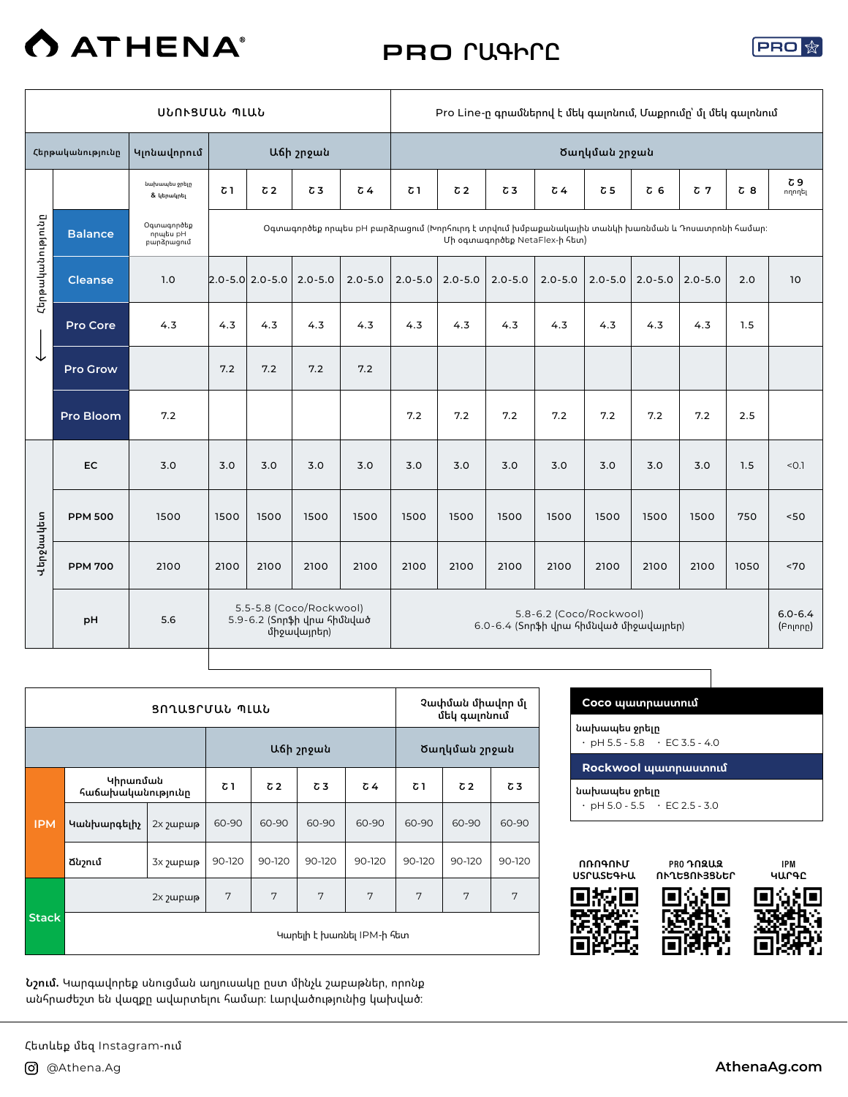

# PRO **ՐԱԳԻՐԸ**



|                  |                  |                                       | Pro Line-ը գրամներով է մեկ գալոնում, Մաքրումը՝ մլ մեկ գալոնում |                                         |                                                                      |                                                                                                  |             |                |             |                                                                   |                |                |             |       |                         |
|------------------|------------------|---------------------------------------|----------------------------------------------------------------|-----------------------------------------|----------------------------------------------------------------------|--------------------------------------------------------------------------------------------------|-------------|----------------|-------------|-------------------------------------------------------------------|----------------|----------------|-------------|-------|-------------------------|
|                  | Հերթականությունը | Կլոնավորում                           |                                                                |                                         | Աճի շրջան                                                            |                                                                                                  |             |                |             |                                                                   | Ծաղկման շրջան  |                |             |       |                         |
|                  |                  | նախապես ջրելը<br>& կերակրել           | $\sigma$ 1                                                     | C <sub>2</sub>                          | $\sigma$ 3                                                           | $\sqrt{64}$                                                                                      | $\sigma$ 1  | C <sub>2</sub> | $\sigma$ 3  | $\zeta$ 4                                                         | c <sub>5</sub> | C <sub>6</sub> | $C$ 7       | $C_8$ | Շ 9<br>ողողել           |
|                  | <b>Balance</b>   | Օգտագործեք<br>npulbu pH<br>բարձրացում |                                                                |                                         |                                                                      | Օգտագործեք որպես pH բարձրացում (Խորհուրդ է տրվում խմբաքանակային տանկի խառնման և Դոսատրոնի համար։ |             |                |             | Մի օգտագործեք NetaFlex-ի հետ)                                     |                |                |             |       |                         |
| Հերթականությունը | <b>Cleanse</b>   | 1.0                                   |                                                                | $\vert 2.0 - 5.0 \vert 2.0 - 5.0 \vert$ | $2.0 - 5.0$                                                          | $2.0 - 5.0$                                                                                      | $2.0 - 5.0$ | $2.0 - 5.0$    | $2.0 - 5.0$ | $2.0 - 5.0$                                                       | $2.0 - 5.0$    | $2.0 - 5.0$    | $2.0 - 5.0$ | 2.0   | 10                      |
|                  | <b>Pro Core</b>  | 4.3                                   | 4.3                                                            | 4.3                                     | 4.3                                                                  | 4.3                                                                                              | 4.3         | 4.3            | 4.3         | 4.3                                                               | 4.3            | 4.3            | 4.3         | 1.5   |                         |
| ↓                | <b>Pro Grow</b>  |                                       | 7.2                                                            | 7.2                                     | 7.2                                                                  | 7.2                                                                                              |             |                |             |                                                                   |                |                |             |       |                         |
|                  | Pro Bloom        | 7.2                                   |                                                                |                                         |                                                                      |                                                                                                  | 7.2         | 7.2            | 7.2         | 7.2                                                               | 7.2            | 7.2            | 7.2         | 2.5   |                         |
|                  | EC               | 3.0                                   | 3.0                                                            | 3.0                                     | 3.0                                                                  | 3.0                                                                                              | 3.0         | 3.0            | 3.0         | 3.0                                                               | 3.0            | 3.0            | 3.0         | 1.5   | < 0.1                   |
|                  | <b>PPM 500</b>   | 1500                                  | 1500                                                           | 1500                                    | 1500                                                                 | 1500                                                                                             | 1500        | 1500           | 1500        | 1500                                                              | 1500           | 1500           | 1500        | 750   | 50                      |
| Վերջնակետ        | <b>PPM 700</b>   | 2100                                  | 2100                                                           | 2100                                    | 2100                                                                 | 2100                                                                                             | 2100        | 2100           | 2100        | 2100                                                              | 2100           | 2100           | 2100        | 1050  | ~170                    |
|                  | pH               | 5.6                                   |                                                                |                                         | 5.5-5.8 (Coco/Rockwool)<br>5.9-6.2 (Տորֆի վրա հիմնված<br>միջավայրեր) |                                                                                                  |             |                |             | 5.8-6.2 (Coco/Rockwool)<br>6.0-6.4 (Տորֆի վրա հիմնված միջավայրեր) |                |                |             |       | $6.0 - 6.4$<br>(Բոլորը) |

┱

|              |                               | ՑՈՂԱՑՐՄԱՆ ՊԼԱՆ       |            |            |                           |        | Չափման միավոր մլ<br>մեկ գայոնում |            |        |  |  |
|--------------|-------------------------------|----------------------|------------|------------|---------------------------|--------|----------------------------------|------------|--------|--|--|
|              |                               |                      |            |            | Աճի շրջան                 |        | Ծաղկման շրջան                    |            |        |  |  |
|              | Կիրառման<br>հաճախականությունը |                      | $\sigma$ 1 | $\sqrt{2}$ | Շ3                        | Շ 4    | $\sigma$ 1                       | $\sqrt{2}$ | Շ3     |  |  |
| <b>IPM</b>   | Կանխարգելիչ                   | 2x 2wpwp             | 60-90      | 60-90      | 60-90                     | 60-90  | 60-90                            | 60-90      | 60-90  |  |  |
|              | Ճնշում                        | 3x <sub>2</sub> upup | 90-120     | 90-120     | 90-120                    | 90-120 | 90-120                           | 90-120     | 90-120 |  |  |
|              |                               | 2x <sub>2</sub> upup | 7          | 7          | 7                         | 7      | 7                                | 7          | 7      |  |  |
| <b>Stack</b> |                               |                      |            |            | Կարելի է խառնել IPM-ի հետ |        |                                  |            |        |  |  |

**Նշում.** Կարգավորեք սնուցման աղյուսակը ըստ մինչև շաբաթներ, որոնք անհրաժեշտ են վազքը ավարտելու համար: Լարվածությունից կախված:

| նախապես ջրելը | $\cdot$ pH 5.5 - 5.8 $\cdot$ EC 3.5 - 4.0 |
|---------------|-------------------------------------------|
|               | Rockwool պատրաստում                       |
| նախապես ջրելը |                                           |



PRO **ԴՈԶԱԶ ՈՒՂԵՑՈՒՅՑՆԵՐ**

IPM **ԿԱՐԳԸ**







Հետևեք մեզ Instagram-ում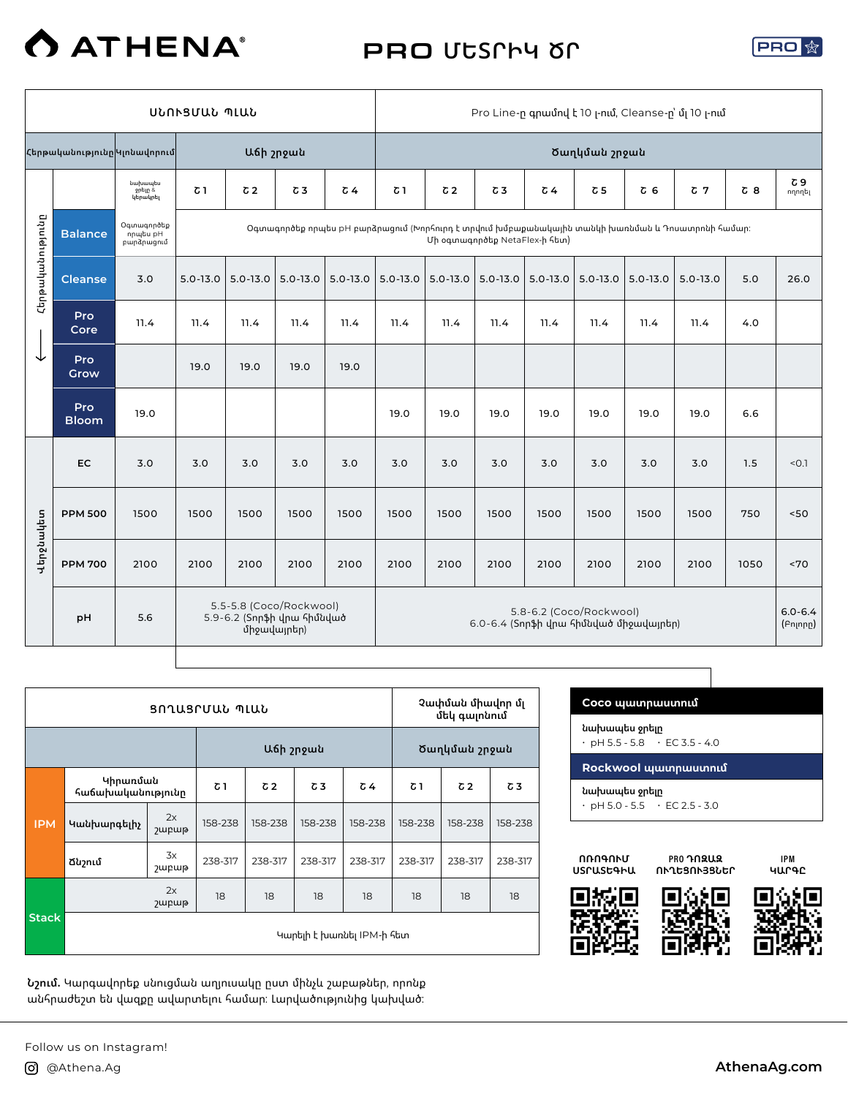

# PRO **ՄԵՏՐԻԿ ԾՐ**



|           |                                                                                                                                                                                                                  |                                | ՍՆՈՒՑՄԱՆ ՊԼԱՆ |                |                                                       |                |              |                |                                        |              |                         |                | Pro Line-n qnwund t 10 -nui, Cleanse-n'ui 10 -nui |            |                         |
|-----------|------------------------------------------------------------------------------------------------------------------------------------------------------------------------------------------------------------------|--------------------------------|---------------|----------------|-------------------------------------------------------|----------------|--------------|----------------|----------------------------------------|--------------|-------------------------|----------------|---------------------------------------------------|------------|-------------------------|
|           | Հերթականությունը Կլոնավորում                                                                                                                                                                                     |                                |               | Աճի շրջան      |                                                       |                |              |                |                                        |              | Ծաղկման շրջան           |                |                                                   |            |                         |
|           |                                                                                                                                                                                                                  | նախապես<br>ջրելը &<br>կերակրել | $\sigma$ 1    | C <sub>2</sub> | $\sigma$ 3                                            | C <sub>4</sub> | $\sigma$ 1   | C <sub>2</sub> | $\sigma$ 3                             | $\sqrt{64}$  | $\sigma$ 5              | C <sub>6</sub> | $C$ 7                                             | $\sigma$ 8 | Շ 9<br>ողողել           |
|           | Հերթականությունը<br>Օգտագործեք<br>Օգտագործեք որպես pH բարձրացում (Խորհուրդ է տրվում խմբաքանակային տանկի խառնման և Դոսատրոնի համար։<br><b>Balance</b><br>npultu pH<br>Մի օգտագործեք NetaFlex-ի հետ)<br>բարձրացում |                                |               |                |                                                       |                |              |                |                                        |              |                         |                |                                                   |            |                         |
|           | <b>Cleanse</b>                                                                                                                                                                                                   | 3.0                            | $5.0 - 13.0$  | $5.0 - 13.0$   | $5.0 - 13.0$                                          | $5.0 - 13.0$   | $5.0 - 13.0$ | $5.0 - 13.0$   | $5.0 - 13.0$                           | $5.0 - 13.0$ | $5.0 - 13.0$            | $5.0 - 13.0$   | $5.0 - 13.0$                                      | 5.0        | 26.0                    |
|           | Pro<br>Core                                                                                                                                                                                                      | 11.4                           | 11.4          | 11.4           | 11.4                                                  | 11.4           | 11.4         | 11.4           | 11.4                                   | 11.4         | 11.4                    | 11.4           | 11.4                                              | 4.0        |                         |
| ↓         | Pro<br>Grow                                                                                                                                                                                                      |                                | 19.0          | 19.0           | 19.0                                                  | 19.0           |              |                |                                        |              |                         |                |                                                   |            |                         |
|           | Pro<br><b>Bloom</b>                                                                                                                                                                                              | 19.0                           |               |                |                                                       |                | 19.0         | 19.0           | 19.0                                   | 19.0         | 19.0                    | 19.0           | 19.0                                              | 6.6        |                         |
|           | EC                                                                                                                                                                                                               | 3.0                            | 3.0           | 3.0            | 3.0                                                   | 3.0            | 3.0          | 3.0            | 3.0                                    | 3.0          | 3.0                     | 3.0            | 3.0                                               | 1.5        | < 0.1                   |
|           | <b>PPM 500</b>                                                                                                                                                                                                   | 1500                           | 1500          | 1500           | 1500                                                  | 1500           | 1500         | 1500           | 1500                                   | 1500         | 1500                    | 1500           | 1500                                              | 750        | 50<                     |
| Վերջնակետ | <b>PPM 700</b>                                                                                                                                                                                                   | 2100                           | 2100          | 2100           | 2100                                                  | 2100           | 2100         | 2100           | 2100                                   | 2100         | 2100                    | 2100           | 2100                                              | 1050       | ~5                      |
|           | pH                                                                                                                                                                                                               | 5.6                            |               | միջավայրեր)    | 5.5-5.8 (Coco/Rockwool)<br>5.9-6.2 (Տորֆի վրա հիմնված |                |              |                | 6.0-6.4 (Տորֆի վրա հիմնված միջավայրեր) |              | 5.8-6.2 (Coco/Rockwool) |                |                                                   |            | $6.0 - 6.4$<br>(Բոլորը) |

т

|              |                               |                                  | ՑՈՂԱՑՐՄԱՆ ՊԼԱՆ |            |                           |         | Չափման միավոր մլ<br>մեկ գայոնում |            |         |  |
|--------------|-------------------------------|----------------------------------|----------------|------------|---------------------------|---------|----------------------------------|------------|---------|--|
|              |                               |                                  |                | Աճի շրջան  |                           |         | Ծաղկման շրջան                    |            |         |  |
|              | Կիրառման<br>հաճախականությունը |                                  | Շ 1            | $\sqrt{2}$ | Շ3                        | Շ 4     | $\sigma$ 1                       | $\sqrt{2}$ | Շ3      |  |
| <b>IPM</b>   | Կանխարգելիչ                   | 2x<br><b><i><u>Jupup</u></i></b> | 158-238        | 158-238    | 158-238                   | 158-238 | 158-238                          | 158-238    | 158-238 |  |
|              | Ճնշում                        | 3x<br>շաբաթ                      | 238-317        | 238-317    | 238-317                   | 238-317 | 238-317                          | 238-317    | 238-317 |  |
|              |                               | 2x<br><b>2</b> upup              | 18             | 18         | 18                        | 18      | 18                               | 18         | 18      |  |
| <b>Stack</b> |                               |                                  |                |            | Կարելի է խառնել IPM-ի հետ |         |                                  |            |         |  |

**Նշում.** Կարգավորեք սնուցման աղյուսակը ըստ մինչև շաբաթներ, որոնք անհրաժեշտ են վազքը ավարտելու համար: Լարվածությունից կախված:

| Coco պատրաստում                                            |
|------------------------------------------------------------|
| նախապես ջրելը<br>$\cdot$ pH 5.5 - 5.8 $\cdot$ EC 3.5 - 4.0 |
|                                                            |
| Rockwool պատրաստում                                        |



PRO **ԴՈԶԱԶ ՈՒՂԵՑՈՒՅՑՆԵՐ**

IPM **ԿԱՐԳԸ**





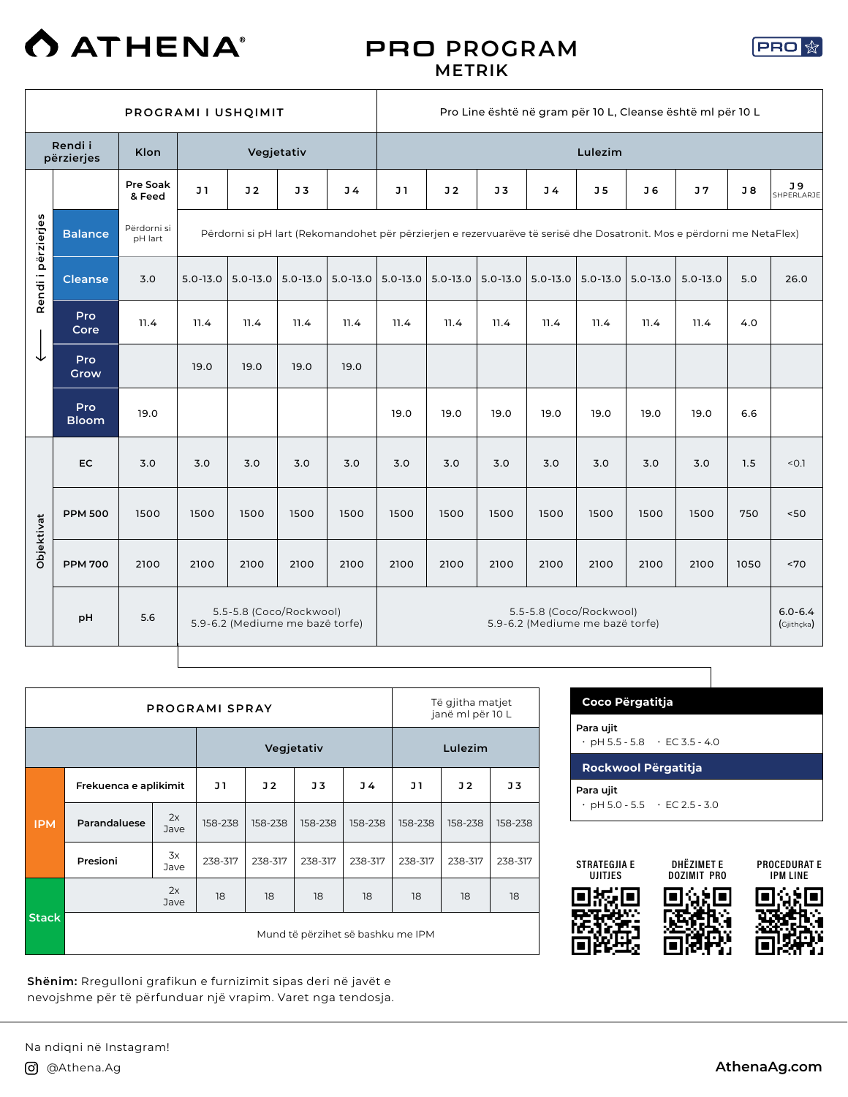

#### PRO **PROGRAM METRIK**

**PRO** 

|            | PROGRAMI I USHQIMIT                                                                                                                                                                     |                    |              |                                                            |                |                | Pro Line është në gram për 10 L, Cleanse është ml për 10 L |                |                |                                                            |                |              |              |      |                           |  |
|------------|-----------------------------------------------------------------------------------------------------------------------------------------------------------------------------------------|--------------------|--------------|------------------------------------------------------------|----------------|----------------|------------------------------------------------------------|----------------|----------------|------------------------------------------------------------|----------------|--------------|--------------|------|---------------------------|--|
|            | Rendi i<br>përzierjes                                                                                                                                                                   | Klon               |              |                                                            | Vegjetativ     |                |                                                            |                |                |                                                            | Lulezim        |              |              |      |                           |  |
|            |                                                                                                                                                                                         | Pre Soak<br>& Feed | J1           | J2                                                         | J <sub>3</sub> | J <sub>4</sub> | J <sub>1</sub>                                             | J <sub>2</sub> | J <sub>5</sub> | J <sub>4</sub>                                             | J <sub>5</sub> | J 6          | J7           | J8   | J 9<br>SHPERLARJE         |  |
|            | Rendi i përzierjes<br>Përdorni si<br><b>Balance</b><br>Përdorni si pH lart (Rekomandohet për përzierjen e rezervuarëve të serisë dhe Dosatronit. Mos e përdorni me NetaFlex)<br>pH lart |                    |              |                                                            |                |                |                                                            |                |                |                                                            |                |              |              |      |                           |  |
|            | <b>Cleanse</b>                                                                                                                                                                          | 3.0                | $5.0 - 13.0$ | $5.0 - 13.0$                                               | $5.0 - 13.0$   | $5.0 - 13.0$   | $5.0 - 13.0$                                               | $5.0 - 13.0$   | $5.0 - 13.0$   | $5.0 - 13.0$                                               | $5.0 - 13.0$   | $5.0 - 13.0$ | $5.0 - 13.0$ | 5.0  | 26.0                      |  |
|            | Pro<br>Core                                                                                                                                                                             | 11.4               | 11.4         | 11.4                                                       | 11.4           | 11.4           | 11.4                                                       | 11.4           | 11.4           | 11.4                                                       | 11.4           | 11.4         | 11.4         | 4.0  |                           |  |
|            | Pro<br>Grow                                                                                                                                                                             |                    | 19.0         | 19.0                                                       | 19.0           | 19.0           |                                                            |                |                |                                                            |                |              |              |      |                           |  |
|            | Pro<br><b>Bloom</b>                                                                                                                                                                     | 19.0               |              |                                                            |                |                | 19.0                                                       | 19.0           | 19.0           | 19.0                                                       | 19.0           | 19.0         | 19.0         | 6.6  |                           |  |
|            | <b>EC</b>                                                                                                                                                                               | 3.0                | 3.0          | 3.0                                                        | 3.0            | 3.0            | 3.0                                                        | 3.0            | 3.0            | 3.0                                                        | 3.0            | 3.0          | 3.0          | 1.5  | < 0.1                     |  |
|            | <b>PPM 500</b>                                                                                                                                                                          | 1500               | 1500         | 1500                                                       | 1500           | 1500           | 1500                                                       | 1500           | 1500           | 1500                                                       | 1500           | 1500         | 1500         | 750  | 50<                       |  |
| Objektivat | <b>PPM 700</b>                                                                                                                                                                          | 2100               | 2100         | 2100                                                       | 2100           | 2100           | 2100                                                       | 2100           | 2100           | 2100                                                       | 2100           | 2100         | 2100         | 1050 | ~5                        |  |
|            | pH                                                                                                                                                                                      | 5.6                |              | 5.5-5.8 (Coco/Rockwool)<br>5.9-6.2 (Mediume me bazë torfe) |                |                |                                                            |                |                | 5.5-5.8 (Coco/Rockwool)<br>5.9-6.2 (Mediume me bazë torfe) |                |              |              |      | $6.0 - 6.4$<br>(Gjithçka) |  |

|              |                       |            | <b>PROGRAMI SPRAY</b> |                |         |                                   | Të gjitha matjet<br>janë ml për 10 L |         |         |  |
|--------------|-----------------------|------------|-----------------------|----------------|---------|-----------------------------------|--------------------------------------|---------|---------|--|
|              |                       |            |                       | Vegjetativ     |         |                                   | Lulezim                              |         |         |  |
|              | Frekuenca e aplikimit |            | J 1                   | J <sub>2</sub> | J3      | J 4                               | J 1                                  | J2      | J3      |  |
| <b>IPM</b>   | Parandaluese          | 2x<br>Jave | 158-238               | 158-238        | 158-238 | 158-238                           | 158-238                              | 158-238 | 158-238 |  |
|              | Presioni              | 3x<br>Jave | 238-317               | 238-317        | 238-317 | 238-317                           | 238-317                              | 238-317 | 238-317 |  |
|              |                       | 2x<br>Jave | 18                    | 18             | 18      | 18                                | 18                                   | 18      | 18      |  |
| <b>Stack</b> |                       |            |                       |                |         | Mund të përzihet së bashku me IPM |                                      |         |         |  |

**Shënim:** Rregulloni grafikun e furnizimit sipas deri në javët e nevojshme për të përfunduar një vrapim. Varet nga tendosja.

| Coco Përgatitja                           |  |
|-------------------------------------------|--|
| Para ujit                                 |  |
| $\cdot$ pH 5.5 - 5.8 $\cdot$ EC 3.5 - 4.0 |  |
| <b>Rockwool Përgatitja</b>                |  |
|                                           |  |
| Para ujit                                 |  |



DHËZIMET E DOZIMIT PRO

PROCEDURAT E IPM LINE







Na ndiqni në Instagram!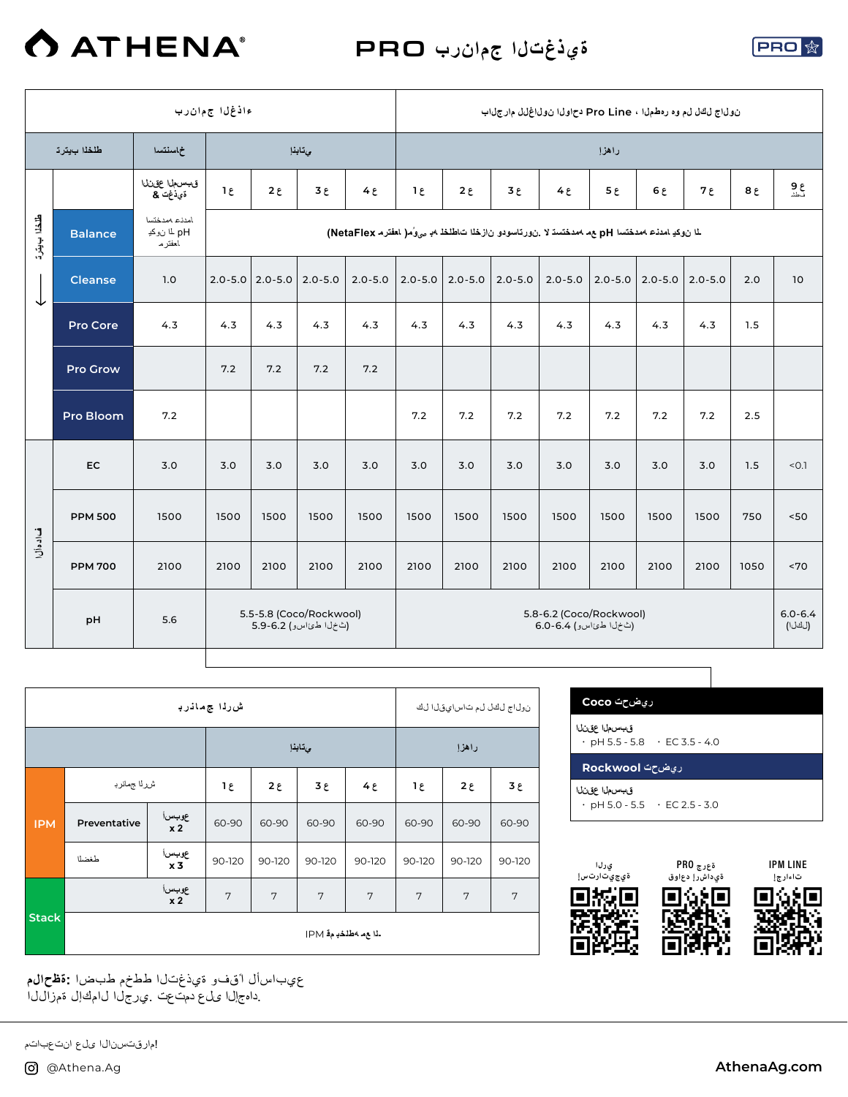

**ةيذغتلا جمانرب** PRO



|                 |                  |                                           | ءاذغل اجمءان رب |                         |                                                   |                                                                                                    |             |              | ن ولياج ليكل ليم وه رهطمليا ، Pro Line دح اوليا ن ولياغ ليل مارج لياب |                                                   |                |             |              |                |                       |
|-----------------|------------------|-------------------------------------------|-----------------|-------------------------|---------------------------------------------------|----------------------------------------------------------------------------------------------------|-------------|--------------|-----------------------------------------------------------------------|---------------------------------------------------|----------------|-------------|--------------|----------------|-----------------------|
|                 | طلخلا بيترت      | خماسنتسدا                                 |                 |                         | وتابذإ                                            |                                                                                                    |             |              |                                                                       |                                                   | راهزإ          |             |              |                |                       |
|                 |                  | قبسما عقنانا<br>قيذغت &                   | $1\epsilon$     | $2 \epsilon$            | $3\epsilon$                                       | $4\epsilon$                                                                                        | $1\epsilon$ | $2 \epsilon$ | $3 \epsilon$                                                          | $4\epsilon$                                       | 5 <sub>ε</sub> | 6E          | ع 7          | 8 <sub>ε</sub> | ع 9<br>نطشا           |
| طنقلنا ب يوتر ت | <b>Balance</b>   | امدنء ممدختسا<br>pH لما نوكدٍ<br>العفتر م |                 |                         |                                                   | لما ن وكيا مدنىء 404هـ فتسا pH مع مصدحتسة لا .ن ورتاسودو ن ازخلا ت اطلخا 4. ص6ر العفتر م NetaFlex) |             |              |                                                                       |                                                   |                |             |              |                |                       |
| ↓               | <b>Cleanse</b>   | 1.0                                       |                 | $2.0 - 5.0$   2.0 - 5.0 | $2.0 - 5.0$                                       | $2.0 - 5.0$                                                                                        | $2.0 - 5.0$ | $2.0 - 5.0$  | $2.0 - 5.0$                                                           | $2.0 - 5.0$                                       | $2.0 - 5.0$    | $2.0 - 5.0$ | $ 2.0 - 5.0$ | 2.0            | 10                    |
|                 | Pro Core         | 4.3                                       | 4.3             | 4.3                     | 4.3                                               | 4.3                                                                                                | 4.3         | 4.3          | 4.3                                                                   | 4.3                                               | 4.3            | 4.3         | 4.3          | 1.5            |                       |
|                 | <b>Pro Grow</b>  |                                           | 7.2             | 7.2                     | 7.2                                               | 7.2                                                                                                |             |              |                                                                       |                                                   |                |             |              |                |                       |
|                 | <b>Pro Bloom</b> | 7.2                                       |                 |                         |                                                   |                                                                                                    | 7.2         | 7.2          | 7.2                                                                   | 7.2                                               | 7.2            | 7.2         | 7.2          | 2.5            |                       |
|                 | <b>EC</b>        | 3.0                                       | 3.0             | 3.0                     | 3.0                                               | 3.0                                                                                                | 3.0         | 3.0          | 3.0                                                                   | 3.0                                               | 3.0            | 3.0         | 3.0          | 1.5            | < 0.1                 |
|                 | <b>PPM 500</b>   | 1500                                      | 1500            | 1500                    | 1500                                              | 1500                                                                                               | 1500        | 1500         | 1500                                                                  | 1500                                              | 1500           | 1500        | 1500         | 750            | $<50$                 |
| فدادهأل         | <b>PPM 700</b>   | 2100                                      | 2100            | 2100                    | 2100                                              | 2100                                                                                               | 2100        | 2100         | 2100                                                                  | 2100                                              | 2100           | 2100        | 2100         | 1050           | ~170                  |
|                 | pH               | 5.6                                       |                 |                         | 5.5-5.8 (Coco/Rockwool)<br>(ثخ ل اطئ اسو) 5.9-6.2 |                                                                                                    |             |              |                                                                       | 5.8-6.2 (Coco/Rockwool)<br>(ٹخ ل اطئ اسو) 6.4-6.0 |                |             |              |                | $6.0 - 6.4$<br>(لكلا) |

|              |              |                          | ش رڌا ج مانرڊ  |        |                       |                   | نول اج لكل لء ت اس اي قل الك |        |        |  |
|--------------|--------------|--------------------------|----------------|--------|-----------------------|-------------------|------------------------------|--------|--------|--|
|              |              |                          |                |        | ىتابذإ                |                   | راهزإ                        |        |        |  |
|              | شرراا جمانرب | ع 1                      | $2\epsilon$    | ع 3    | $4\epsilon$           | $2\epsilon$<br>1٤ |                              | ع 3    |        |  |
| <b>IPM</b>   | Preventative | عوبسi<br>x 2             |                | 60-90  | 60-90                 | 60-90             | 60-90                        | 60-90  | 60-90  |  |
|              | طغضلا        | عوبسرا<br>x <sub>3</sub> | 90-120         | 90-120 | 90-120                | 90-120            | 90-120                       | 90-120 | 90-120 |  |
|              |              | عوبسرا<br>x <sub>2</sub> | $\overline{7}$ | 7      | 7                     | 7                 | 7                            | 7      | 7      |  |
| <b>Stack</b> |              |                          |                |        | ـذا ع.م 4طلخدٍ م4 IPM |                   |                              |        |        |  |

 عيباسأل ا ًقفو ةيذغتلا ططخم طبضا **:ةظحالم** .داهج إلى المحل عن التي يرجل الى امك إلى تم زال ل

IPM LINE **تاءارجإ**

**ريضحت Coco**

 $\cdot$  pH 5.5 - 5.8  $\cdot$  EC 3.5 - 4.0

 $\cdot$  pH 5.0 - 5.5  $\cdot$  EC 2.5 - 3.0

**ةعرج** PRO **ةيداشرإ دعاوق**

П

68⊡

**ريضحت Rockwool**

**قبسملا عقنلا**

**قبسملا عقنلا**

**يرلا ةيجيتارتسإ**

城區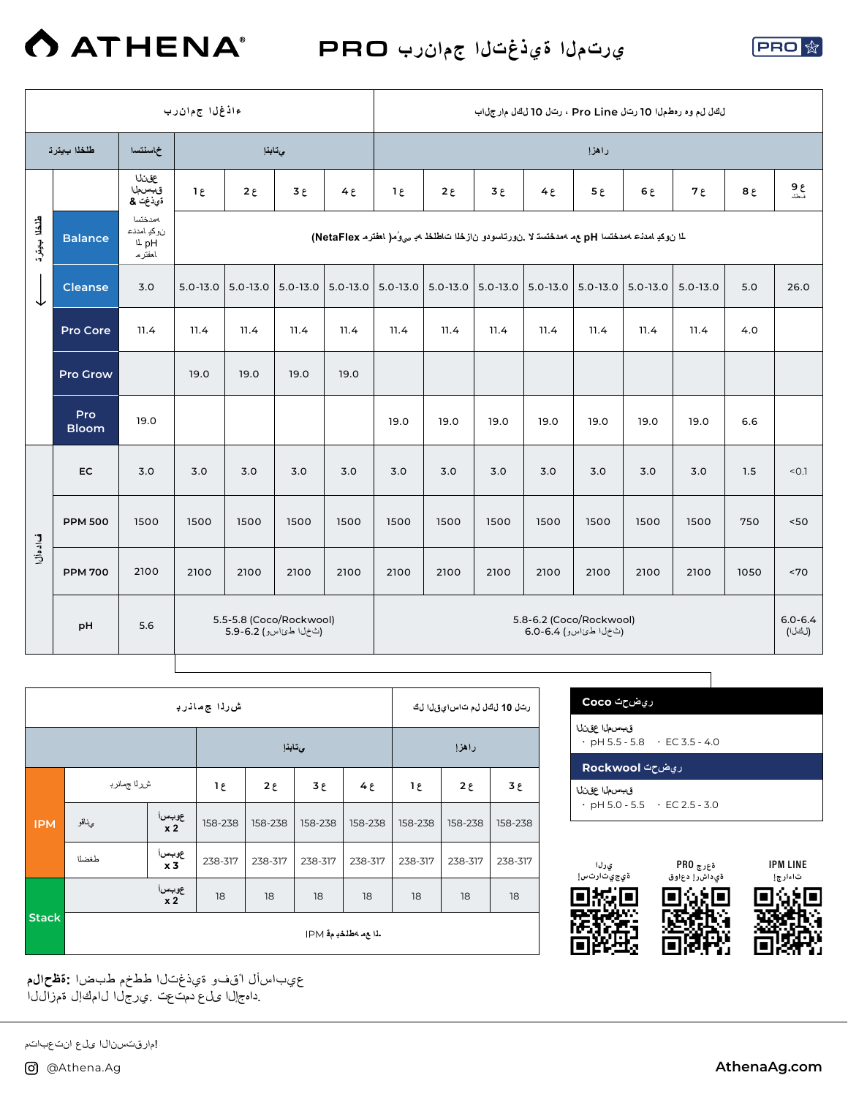

**يرتملا ةيذغتلا جمانرب** PRO



|             |                     |                                                | ءاذغل اجمءان رب |                                                  |        |              |             |              |              |                                                                                                       |             |      | لكال لم وه رهطمل ا 10 رت ل Pro Line ، رتال 10 لكال مارج ل اب |        |                       |
|-------------|---------------------|------------------------------------------------|-----------------|--------------------------------------------------|--------|--------------|-------------|--------------|--------------|-------------------------------------------------------------------------------------------------------|-------------|------|--------------------------------------------------------------|--------|-----------------------|
|             | طلخلا بيترت         | خماسنتسدا                                      |                 |                                                  | يتابذإ |              |             |              |              |                                                                                                       | راهزإ       |      |                                                              |        |                       |
|             |                     | عقنانا<br>قبسملا<br>ةَيْ ذْغِتْ &              | $1\epsilon$     | $2 \epsilon$                                     | ع 3    | $4 \epsilon$ | $1\epsilon$ | $2 \epsilon$ | $3 \epsilon$ | 4E                                                                                                    | $5\epsilon$ | 6 ي  | $7\epsilon$                                                  | $8\xi$ | ع 9<br>نطشا           |
| طلقا بابقرة | <b>Balance</b>      | مدختسا<br>نوكد امددع<br><b>L</b> pH<br>العفترم |                 |                                                  |        |              |             |              |              | لما نوكدِ امدنـّ ممدختسا pH مم ممدختسة لا _نورتاسودو نازخلا تـاطلخلــهـدٍ بـه وُمـ( العفترم NetaFlex) |             |      |                                                              |        |                       |
| ↓           | <b>Cleanse</b>      | 3.0                                            | $5.0 - 13.0$    | $  5.0 - 13.0   5.0 - 13.0  $                    |        |              |             |              |              | $5.0 - 13.0$ $5.0 - 13.0$ $5.0 - 13.0$ $5.0 - 13.0$ $5.0 - 13.0$ $5.0 - 13.0$ $5.0 - 13.0$            |             |      | $5.0 - 13.0$                                                 | 5.0    | 26.0                  |
|             | Pro Core            | 11.4                                           | 11.4            | 11.4                                             | 11.4   | 11.4         | 11.4        | 11.4         | 11.4         | 11.4                                                                                                  | 11.4        | 11.4 | 11.4                                                         | 4.0    |                       |
|             | <b>Pro Grow</b>     |                                                | 19.0            | 19.0                                             | 19.0   | 19.0         |             |              |              |                                                                                                       |             |      |                                                              |        |                       |
|             | Pro<br><b>Bloom</b> | 19.0                                           |                 |                                                  |        |              | 19.0        | 19.0         | 19.0         | 19.0                                                                                                  | 19.0        | 19.0 | 19.0                                                         | 6.6    |                       |
|             | EC                  | 3.0                                            | 3.0             | 3.0                                              | 3.0    | 3.0          | 3.0         | 3.0          | 3.0          | 3.0                                                                                                   | 3.0         | 3.0  | 3.0                                                          | 1.5    | < 0.1                 |
|             | <b>PPM 500</b>      | 1500                                           | 1500            | 1500                                             | 1500   | 1500         | 1500        | 1500         | 1500         | 1500                                                                                                  | 1500        | 1500 | 1500                                                         | 750    | 50                    |
| فدادهأل     | <b>PPM 700</b>      | 2100                                           | 2100            | 2100                                             | 2100   | 2100         | 2100        | 2100         | 2100         | 2100                                                                                                  | 2100        | 2100 | 2100                                                         | 1050   | ~170                  |
|             | pH                  | 5.6                                            |                 | 5.5-5.8 (Coco/Rockwool)<br>(ٹخل اطئ اسو) 5.9-6.2 |        |              |             |              |              | 5.8-6.2 (Coco/Rockwool)<br>(ثخ ل اطئ اسو) 6.4-6.0                                                     |             |      |                                                              |        | $6.0 - 6.4$<br>(لكلا) |

|              |             |                          | ش رڈا ج مانر با |         |             |                         | رتل 10 لڭل لم تاس!يقل! لڭ |             |         |  |  |
|--------------|-------------|--------------------------|-----------------|---------|-------------|-------------------------|---------------------------|-------------|---------|--|--|
|              |             |                          |                 | ىتابذإ  |             |                         | راهزإ                     |             |         |  |  |
|              | شرلا جمانرب | ع 1                      | $2\epsilon$     | 3٤      | $4\epsilon$ |                         | $2\epsilon$               | $3\epsilon$ |         |  |  |
| <b>IPM</b>   | ىئاقو       | عوبسi<br>x 2             |                 | 158-238 | 158-238     | 158-238                 | 158-238                   | 158-238     | 158-238 |  |  |
|              | طغضلا       | عوبس <br>X <b>3</b>      | 238-317         | 238-317 | 238-317     | 238-317                 | 238-317                   | 238-317     | 238-317 |  |  |
|              |             | عوبسرا<br>x <sub>2</sub> | 18              | 18      | 18          | 18                      | 18                        | 18          | 18      |  |  |
| <b>Stack</b> |             |                          |                 |         |             | ـذا ع مـ 4طلخد م قـ IPM |                           |             |         |  |  |

 عيباسأل ا ًقفو ةيذغتلا ططخم طبضا **:ةظحالم** .داهجإل\ ىلع دمت¢ت .ي رجل\ ل|مكإل ةمزالJل|

| رىضحت Coco                                                |  |
|-----------------------------------------------------------|--|
| قسسملا عقنلا<br>$\cdot$ pH 5.5 - 5.8 $\cdot$ EC 3.5 - 4.0 |  |
|                                                           |  |
| رىضحت Rockwool                                            |  |



!مارقتسنال اىلع انتعباتم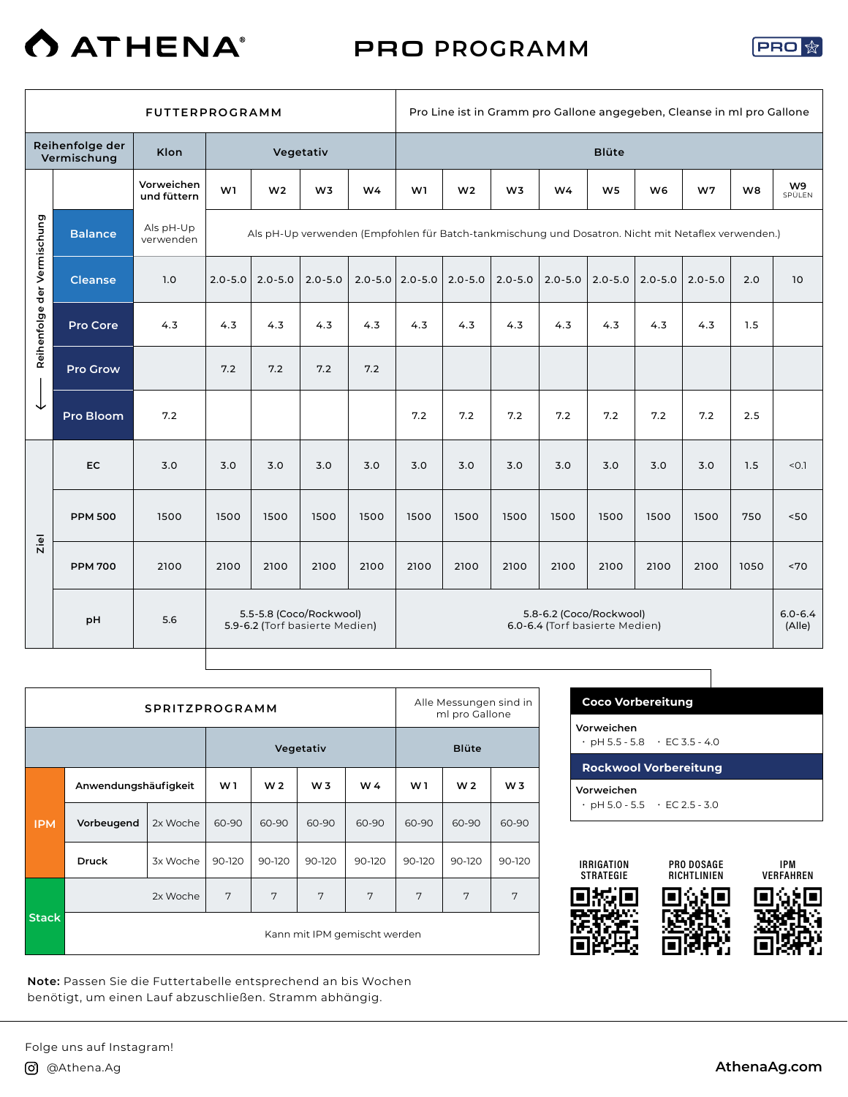

PRO **PROGRAMM**



|                             |                                | <b>FUTTERPROGRAMM</b>     |             |                                                                                                    |                |                | Pro Line ist in Gramm pro Gallone angegeben, Cleanse in ml pro Gallone |                |                |                                                           |                |                |             |                |                       |
|-----------------------------|--------------------------------|---------------------------|-------------|----------------------------------------------------------------------------------------------------|----------------|----------------|------------------------------------------------------------------------|----------------|----------------|-----------------------------------------------------------|----------------|----------------|-------------|----------------|-----------------------|
|                             | Reihenfolge der<br>Vermischung | Klon                      |             | Vegetativ                                                                                          |                |                |                                                                        | <b>Blüte</b>   |                |                                                           |                |                |             |                |                       |
|                             |                                | Vorweichen<br>und füttern | W1          | W <sub>2</sub>                                                                                     | W <sub>3</sub> | W <sub>4</sub> | W1                                                                     | W <sub>2</sub> | W <sub>3</sub> | W4                                                        | W <sub>5</sub> | W <sub>6</sub> | W7          | W <sub>8</sub> | W9<br>SPÜLEN          |
|                             | <b>Balance</b>                 | Als pH-Up<br>verwenden    |             | Als pH-Up verwenden (Empfohlen für Batch-tankmischung und Dosatron. Nicht mit Netaflex verwenden.) |                |                |                                                                        |                |                |                                                           |                |                |             |                |                       |
|                             | <b>Cleanse</b>                 | 1.0                       | $2.0 - 5.0$ | $2.0 - 5.0$                                                                                        | $2.0 - 5.0$    |                | $2.0 - 5.0$ 2.0 - 5.0                                                  | $2.0 - 5.0$    | $2.0 - 5.0$    | $2.0 - 5.0$                                               | $2.0 - 5.0$    | $2.0 - 5.0$    | $2.0 - 5.0$ | 2.0            | 10                    |
| Reihenfolge der Vermischung | Pro Core                       | 4.3                       | 4.3         | 4.3                                                                                                | 4.3            | 4.3            | 4.3                                                                    | 4.3            | 4.3            | 4.3                                                       | 4.3            | 4.3            | 4.3         | 1.5            |                       |
|                             | <b>Pro Grow</b>                |                           | 7.2         | 7.2                                                                                                | 7.2            | 7.2            |                                                                        |                |                |                                                           |                |                |             |                |                       |
| ↓                           | Pro Bloom                      | 7.2                       |             |                                                                                                    |                |                | 7.2                                                                    | 7.2            | 7.2            | 7.2                                                       | 7.2            | 7.2            | 7.2         | 2.5            |                       |
|                             | <b>EC</b>                      | 3.0                       | 3.0         | 3.0                                                                                                | 3.0            | 3.0            | 3.0                                                                    | 3.0            | 3.0            | 3.0                                                       | 3.0            | 3.0            | 3.0         | 1.5            | < 0.1                 |
|                             | <b>PPM 500</b>                 | 1500                      | 1500        | 1500                                                                                               | 1500           | 1500           | 1500                                                                   | 1500           | 1500           | 1500                                                      | 1500           | 1500           | 1500        | 750            | 50<                   |
| Ziel                        | <b>PPM 700</b>                 | 2100                      | 2100        | 2100                                                                                               | 2100           | 2100           | 2100                                                                   | 2100           | 2100           | 2100                                                      | 2100           | 2100           | 2100        | 1050           | ~5                    |
|                             | pH                             | 5.6                       |             | 5.5-5.8 (Coco/Rockwool)<br>5.9-6.2 (Torf basierte Medien)                                          |                |                |                                                                        |                |                | 5.8-6.2 (Coco/Rockwool)<br>6.0-6.4 (Torf basierte Medien) |                |                |             |                | $6.0 - 6.4$<br>(Alle) |
|                             |                                |                           |             |                                                                                                    |                |                |                                                                        |                |                |                                                           |                |                |             |                |                       |

|              | <b>SPRITZPROGRAMM</b> |          |        |                |                |                              |        | Alle Messungen sind in<br>ml pro Gallone |        |  |  |
|--------------|-----------------------|----------|--------|----------------|----------------|------------------------------|--------|------------------------------------------|--------|--|--|
|              |                       |          |        | Vegetativ      | <b>Blüte</b>   |                              |        |                                          |        |  |  |
|              | Anwendungshäufigkeit  |          | W1     | W <sub>2</sub> | W <sub>3</sub> | W4                           | W 1    | W <sub>2</sub>                           | W 3    |  |  |
| <b>IPM</b>   | Vorbeugend            | 2x Woche | 60-90  | 60-90          | 60-90          | 60-90                        | 60-90  | 60-90                                    | 60-90  |  |  |
|              | <b>Druck</b>          | 3x Woche | 90-120 | 90-120         | 90-120         | 90-120                       | 90-120 | 90-120                                   | 90-120 |  |  |
|              |                       | 2x Woche | 7      | 7              | 7              | 7                            | 7      | 7                                        | 7      |  |  |
| <b>Stack</b> |                       |          |        |                |                | Kann mit IPM gemischt werden |        |                                          |        |  |  |

**Note:** Passen Sie die Futtertabelle entsprechend an bis Wochen benötigt, um einen Lauf abzuschließen. Stramm abhängig.

| <b>Coco Vorbereitung</b>                                |                                           |
|---------------------------------------------------------|-------------------------------------------|
| Vorweichen<br>$\cdot$ pH 5.5 - 5.8 $\cdot$ EC 3.5 - 4.0 |                                           |
| <b>Rockwool Vorbereitung</b>                            |                                           |
| Vorweichen                                              | $\cdot$ pH 5.0 - 5.5 $\cdot$ EC 2.5 - 3.0 |